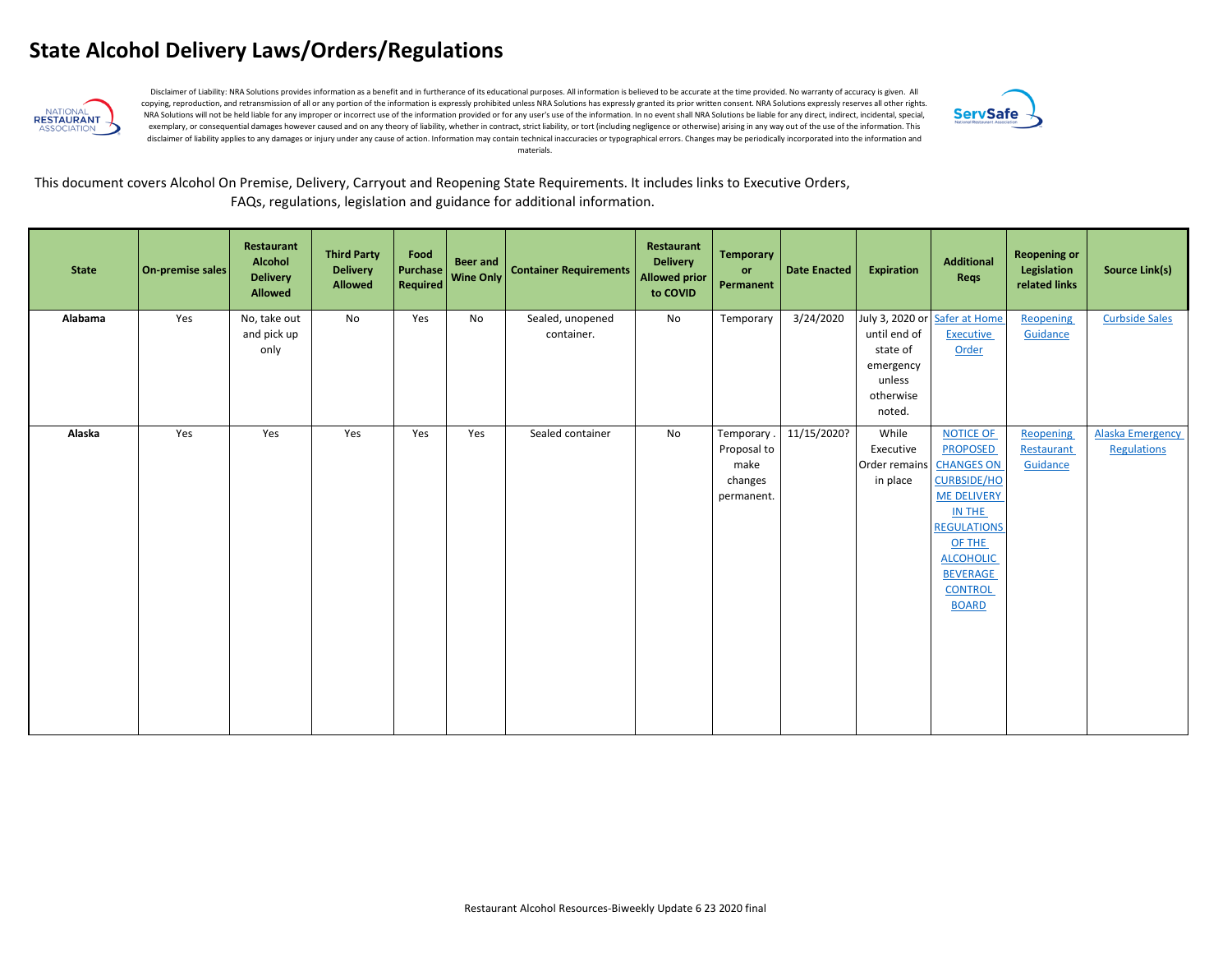

Disclaimer of Liability: NRA Solutions provides information as a benefit and in furtherance of its educational purposes. All information is believed to be accurate at the time provided. No warranty of accuracy is given. Al copying, reproduction, and retransmission of all or any portion of the information is expressly prohibited unless NRA Solutions has expressly granted its prior written consent. NRA Solutions expressly reserves all other ri NRA Solutions will not be held liable for any improper or incorrect use of the information provided or for any user's use of the information. In no event shall NRA Solutions be liable for any direct, indirect, incidental, exemplary, or consequential damages however caused and on any theory of liability, whether in contract, strict liability, or tort (including negligence or otherwise) arising in any way out of the use of the information. Th disclaimer of liability applies to any damages or injury under any cause of action. Information may contain technical inaccuracies or typographical errors. Changes may be periodically incorporated into the information and materials.



#### This document covers Alcohol On Premise, Delivery, Carryout and Reopening State Requirements. It includes links to Executive Orders, FAQs, regulations, legislation and guidance for additional information.

| <b>State</b> | On-premise sales | Restaurant<br>Alcohol<br><b>Delivery</b><br><b>Allowed</b> | <b>Third Party</b><br><b>Delivery</b><br><b>Allowed</b> | Food<br>Purchase<br>Required | <b>Beer and</b><br>Wine Only | <b>Container Requirements</b>  | Restaurant<br><b>Delivery</b><br><b>Allowed prior</b><br>to COVID | <b>Temporary</b><br>or<br>Permanent                        | <b>Date Enacted</b> | <b>Expiration</b>                                                      | <b>Additional</b><br>Reqs                                                                                                                                                                                               | <b>Reopening or</b><br>Legislation<br>related links | <b>Source Link(s)</b>                  |
|--------------|------------------|------------------------------------------------------------|---------------------------------------------------------|------------------------------|------------------------------|--------------------------------|-------------------------------------------------------------------|------------------------------------------------------------|---------------------|------------------------------------------------------------------------|-------------------------------------------------------------------------------------------------------------------------------------------------------------------------------------------------------------------------|-----------------------------------------------------|----------------------------------------|
| Alabama      | Yes              | No, take out<br>and pick up<br>only                        | No                                                      | Yes                          | No                           | Sealed, unopened<br>container. | No                                                                | Temporary                                                  | 3/24/2020           | until end of<br>state of<br>emergency<br>unless<br>otherwise<br>noted. | July 3, 2020 or Safer at Home<br><b>Executive</b><br>Order                                                                                                                                                              | Reopening<br>Guidance                               | <b>Curbside Sales</b>                  |
| Alaska       | Yes              | Yes                                                        | Yes                                                     | Yes                          | Yes                          | Sealed container               | No                                                                | Temporary.<br>Proposal to<br>make<br>changes<br>permanent. | 11/15/2020?         | While<br>Executive<br>Order remains<br>in place                        | <b>NOTICE OF</b><br><b>PROPOSED</b><br><b>CHANGES ON</b><br><b>CURBSIDE/HO</b><br><b>ME DELIVERY</b><br>IN THE<br><b>REGULATIONS</b><br>OF THE<br><b>ALCOHOLIC</b><br><b>BEVERAGE</b><br><b>CONTROL</b><br><b>BOARD</b> | Reopening<br>Restaurant<br>Guidance                 | <b>Alaska Emergency</b><br>Regulations |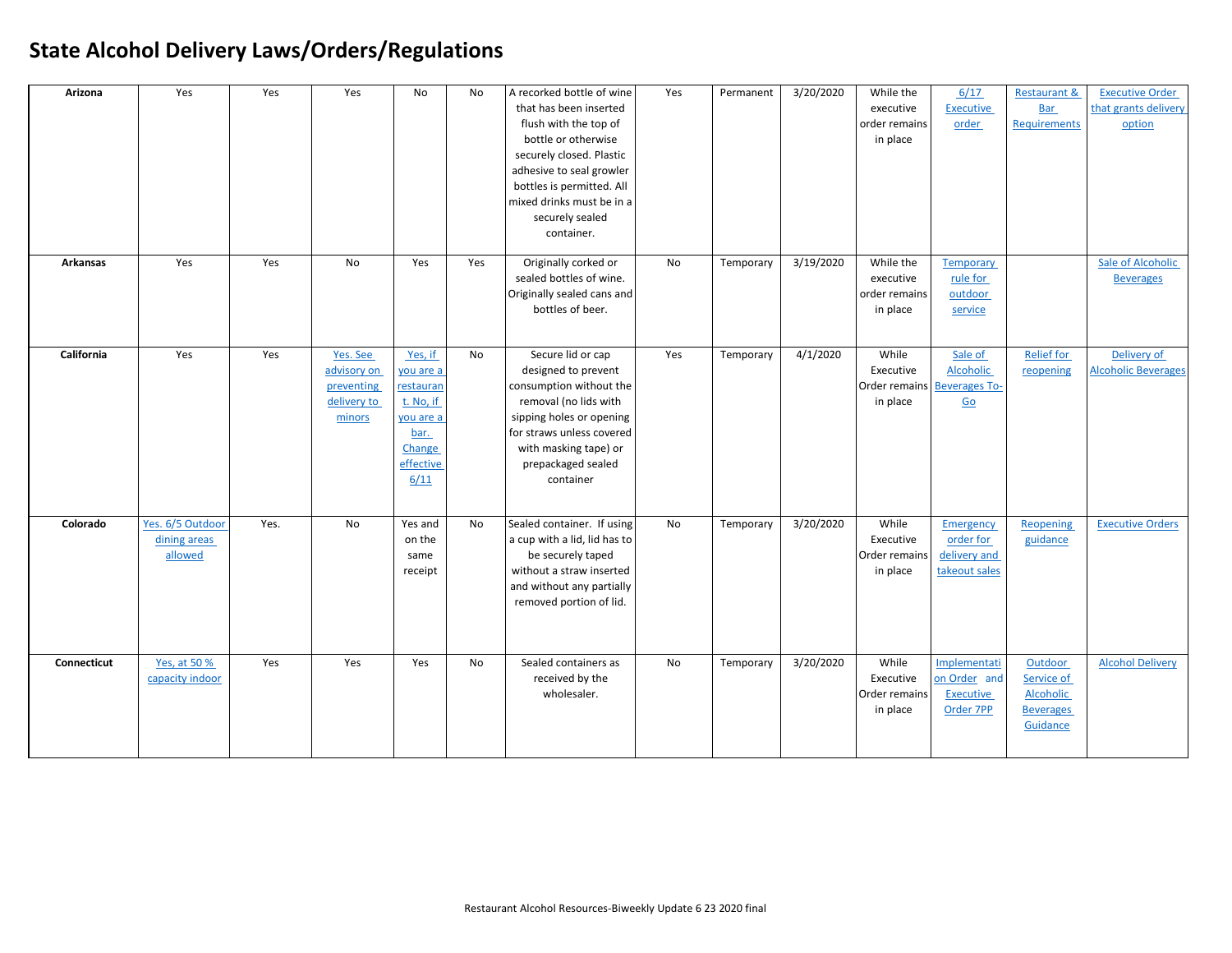| Arizona         | Yes                                         | Yes  | Yes                                                            | No                                                                                                 | No        | A recorked bottle of wine<br>that has been inserted<br>flush with the top of<br>bottle or otherwise<br>securely closed. Plastic<br>adhesive to seal growler<br>bottles is permitted. All<br>mixed drinks must be in a<br>securely sealed<br>container. | Yes | Permanent | 3/20/2020 | While the<br>executive<br>order remains<br>in place | 6/17<br><b>Executive</b><br>order                                                       | <b>Restaurant &amp;</b><br><b>Bar</b><br><b>Requirements</b>              | <b>Executive Order</b><br>that grants delivery<br>option |
|-----------------|---------------------------------------------|------|----------------------------------------------------------------|----------------------------------------------------------------------------------------------------|-----------|--------------------------------------------------------------------------------------------------------------------------------------------------------------------------------------------------------------------------------------------------------|-----|-----------|-----------|-----------------------------------------------------|-----------------------------------------------------------------------------------------|---------------------------------------------------------------------------|----------------------------------------------------------|
| <b>Arkansas</b> | Yes                                         | Yes  | <b>No</b>                                                      | Yes                                                                                                | Yes       | Originally corked or<br>sealed bottles of wine.<br>Originally sealed cans and<br>bottles of beer.                                                                                                                                                      | No  | Temporary | 3/19/2020 | While the<br>executive<br>order remains<br>in place | <b>Temporary</b><br>rule for<br>outdoor<br>service                                      |                                                                           | Sale of Alcoholic<br><b>Beverages</b>                    |
| California      | Yes                                         | Yes  | Yes. See<br>advisory on<br>preventing<br>delivery to<br>minors | Yes, if<br>vou are a<br>restauran<br>t. No, if<br>you are a<br>bar.<br>Change<br>effective<br>6/11 | No        | Secure lid or cap<br>designed to prevent<br>consumption without the<br>removal (no lids with<br>sipping holes or opening<br>for straws unless covered<br>with masking tape) or<br>prepackaged sealed<br>container                                      | Yes | Temporary | 4/1/2020  | While<br>Executive<br>in place                      | Sale of<br><b>Alcoholic</b><br>Order remains Beverages To-<br>$\underline{\mathsf{Go}}$ | <b>Relief for</b><br>reopening                                            | Delivery of<br><b>Alcoholic Beverages</b>                |
| Colorado        | Yes. 6/5 Outdoor<br>dining areas<br>allowed | Yes. | No                                                             | Yes and<br>on the<br>same<br>receipt                                                               | <b>No</b> | Sealed container. If using<br>a cup with a lid, lid has to<br>be securely taped<br>without a straw inserted<br>and without any partially<br>removed portion of lid.                                                                                    | No  | Temporary | 3/20/2020 | While<br>Executive<br>Order remains<br>in place     | Emergency<br>order for<br>delivery and<br>takeout sales                                 | Reopening<br>guidance                                                     | <b>Executive Orders</b>                                  |
| Connecticut     | Yes, at 50 %<br>capacity indoor             | Yes  | Yes                                                            | Yes                                                                                                | No        | Sealed containers as<br>received by the<br>wholesaler.                                                                                                                                                                                                 | No  | Temporary | 3/20/2020 | While<br>Executive<br>Order remains<br>in place     | Implementati<br>on Order and<br><b>Executive</b><br>Order 7PP                           | Outdoor<br>Service of<br><b>Alcoholic</b><br><b>Beverages</b><br>Guidance | <b>Alcohol Delivery</b>                                  |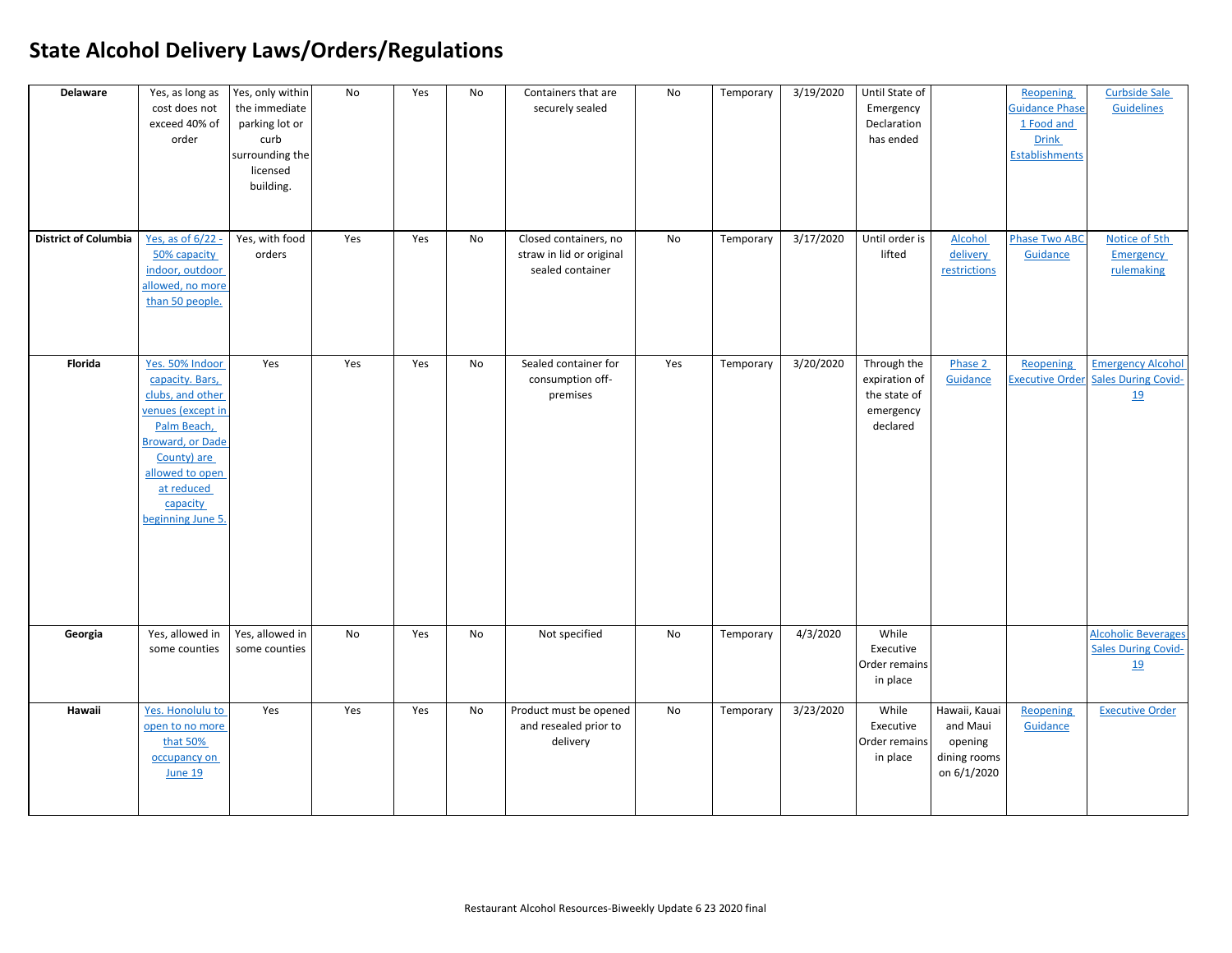| <b>Delaware</b><br><b>District of Columbia</b> | Yes, as long as<br>cost does not<br>exceed 40% of<br>order<br><u>Yes, as of 6/22 -</u>                                                                                                                 | Yes, only within<br>the immediate<br>parking lot or<br>curb<br>surrounding the<br>licensed<br>building.<br>Yes, with food | No<br>Yes | Yes<br>Yes | No<br>No | Containers that are<br>securely sealed<br>Closed containers, no | No<br>No | Temporary<br>Temporary | 3/19/2020<br>3/17/2020 | Until State of<br>Emergency<br>Declaration<br>has ended<br>Until order is | Alcohol                                                             | Reopening<br><b>Guidance Phase</b><br>1 Food and<br><b>Drink</b><br><b>Establishments</b><br><b>Phase Two ABC</b> | <b>Curbside Sale</b><br><b>Guidelines</b><br>Notice of 5th            |
|------------------------------------------------|--------------------------------------------------------------------------------------------------------------------------------------------------------------------------------------------------------|---------------------------------------------------------------------------------------------------------------------------|-----------|------------|----------|-----------------------------------------------------------------|----------|------------------------|------------------------|---------------------------------------------------------------------------|---------------------------------------------------------------------|-------------------------------------------------------------------------------------------------------------------|-----------------------------------------------------------------------|
|                                                | 50% capacity<br>indoor, outdoor<br>allowed, no more<br>than 50 people.                                                                                                                                 | orders                                                                                                                    |           |            |          | straw in lid or original<br>sealed container                    |          |                        |                        | lifted                                                                    | delivery<br>restrictions                                            | Guidance                                                                                                          | <b>Emergency</b><br>rulemaking                                        |
| Florida                                        | Yes. 50% Indoor<br>capacity. Bars,<br>clubs, and other<br>venues (except in<br>Palm Beach,<br><b>Broward, or Dade</b><br>County) are<br>allowed to open<br>at reduced<br>capacity<br>beginning June 5. | Yes                                                                                                                       | Yes       | Yes        | No       | Sealed container for<br>consumption off-<br>premises            | Yes      | Temporary              | 3/20/2020              | Through the<br>expiration of<br>the state of<br>emergency<br>declared     | Phase 2<br>Guidance                                                 | Reopening<br><b>Executive Order</b>                                                                               | <b>Emergency Alcohol</b><br><b>Sales During Covid-</b><br><u>19</u>   |
| Georgia                                        | Yes, allowed in<br>some counties                                                                                                                                                                       | Yes, allowed in<br>some counties                                                                                          | No        | Yes        | No       | Not specified                                                   | No       | Temporary              | 4/3/2020               | While<br>Executive<br>Order remains<br>in place                           |                                                                     |                                                                                                                   | <b>Alcoholic Beverages</b><br><b>Sales During Covid-</b><br><u>19</u> |
| Hawaii                                         | Yes. Honolulu to<br>open to no more<br>that 50%<br>occupancy on<br><b>June 19</b>                                                                                                                      | Yes                                                                                                                       | Yes       | Yes        | No       | Product must be opened<br>and resealed prior to<br>delivery     | No       | Temporary              | 3/23/2020              | While<br>Executive<br>Order remains<br>in place                           | Hawaii, Kauai<br>and Maui<br>opening<br>dining rooms<br>on 6/1/2020 | <b>Reopening</b><br>Guidance                                                                                      | <b>Executive Order</b>                                                |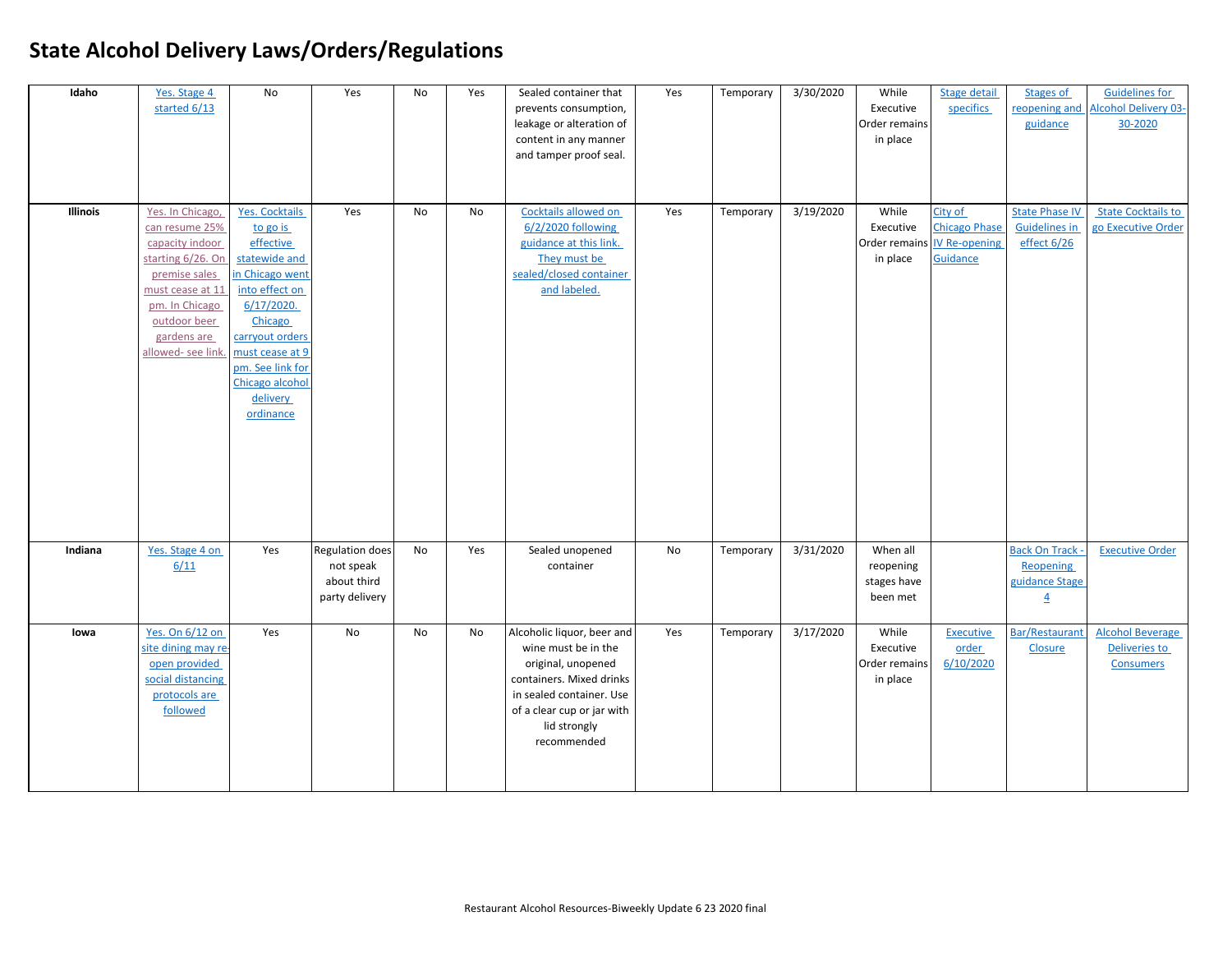| Idaho           | Yes. Stage 4<br>started 6/13                                                                                                                                                          | No                                                                                                                                                                                                                                    | Yes                                                                  | No        | Yes | Sealed container that<br>prevents consumption,<br>leakage or alteration of<br>content in any manner<br>and tamper proof seal.                                                                | Yes | Temporary | 3/30/2020 | While<br>Executive<br>Order remains<br>in place               | <b>Stage detail</b><br>specifics            | Stages of<br>reopening and<br>guidance                                  | <b>Guidelines for</b><br>Alcohol Delivery 03-<br>30-2020            |
|-----------------|---------------------------------------------------------------------------------------------------------------------------------------------------------------------------------------|---------------------------------------------------------------------------------------------------------------------------------------------------------------------------------------------------------------------------------------|----------------------------------------------------------------------|-----------|-----|----------------------------------------------------------------------------------------------------------------------------------------------------------------------------------------------|-----|-----------|-----------|---------------------------------------------------------------|---------------------------------------------|-------------------------------------------------------------------------|---------------------------------------------------------------------|
| <b>Illinois</b> | Yes. In Chicago,<br>can resume 25%<br>capacity indoor<br>starting 6/26. On<br>premise sales<br>must cease at 11<br>pm. In Chicago<br>outdoor beer<br>gardens are<br>allowed-see link. | <b>Yes. Cocktails</b><br>to go is<br>effective<br>statewide and<br>n Chicago went<br>into effect on<br>$6/17/2020$ .<br>Chicago<br>carryout orders<br>must cease at 9<br>pm. See link for<br>Chicago alcohol<br>delivery<br>ordinance | Yes                                                                  | <b>No</b> | No. | Cocktails allowed on<br>6/2/2020 following<br>guidance at this link.<br>They must be<br>sealed/closed container<br>and labeled.                                                              | Yes | Temporary | 3/19/2020 | While<br>Executive<br>Order remains IV Re-opening<br>in place | City of<br><b>Chicago Phase</b><br>Guidance | <b>State Phase IV</b><br><b>Guidelines in</b><br>effect 6/26            | <b>State Cocktails to</b><br>go Executive Order                     |
| Indiana         | Yes. Stage 4 on<br>6/11                                                                                                                                                               | Yes                                                                                                                                                                                                                                   | <b>Regulation does</b><br>not speak<br>about third<br>party delivery | No        | Yes | Sealed unopened<br>container                                                                                                                                                                 | No  | Temporary | 3/31/2020 | When all<br>reopening<br>stages have<br>been met              |                                             | <b>Back On Track</b> -<br>Reopening<br>guidance Stage<br>$\overline{4}$ | <b>Executive Order</b>                                              |
| lowa            | Yes. On 6/12 on<br>site dining may re-<br>open provided<br>social distancing<br>protocols are<br>followed                                                                             | Yes                                                                                                                                                                                                                                   | <b>No</b>                                                            | <b>No</b> | No  | Alcoholic liquor, beer and<br>wine must be in the<br>original, unopened<br>containers. Mixed drinks<br>in sealed container. Use<br>of a clear cup or jar with<br>lid strongly<br>recommended | Yes | Temporary | 3/17/2020 | While<br>Executive<br>Order remains<br>in place               | <b>Executive</b><br>order<br>6/10/2020      | <b>Bar/Restaurant</b><br><b>Closure</b>                                 | <b>Alcohol Beverage</b><br><b>Deliveries to</b><br><b>Consumers</b> |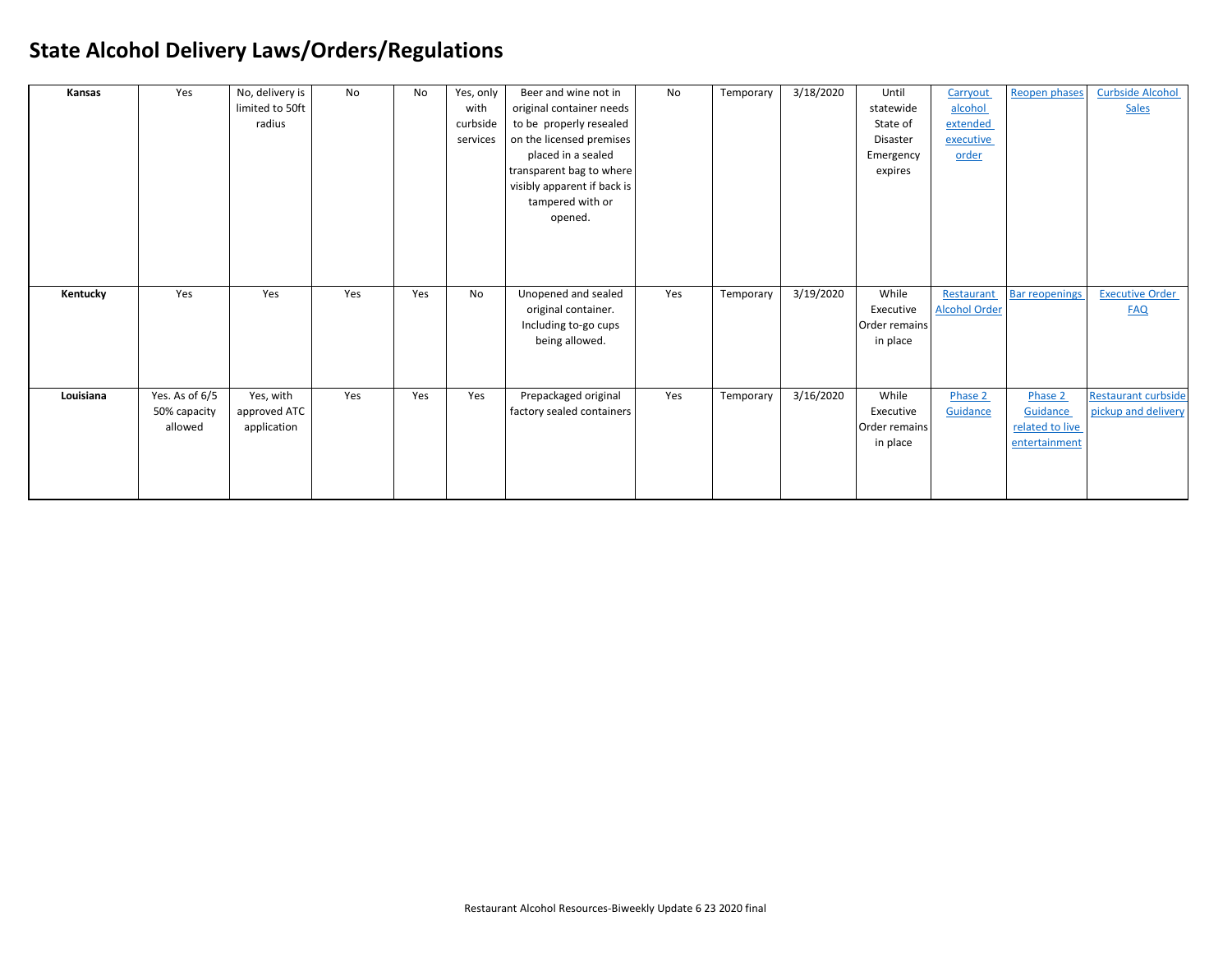| Kansas    | Yes            | No, delivery is | No  | No  | Yes, only | Beer and wine not in        | No  | Temporary | 3/18/2020 | Until         | Carryout             | Reopen phases         | <b>Curbside Alcohol</b>    |
|-----------|----------------|-----------------|-----|-----|-----------|-----------------------------|-----|-----------|-----------|---------------|----------------------|-----------------------|----------------------------|
|           |                | limited to 50ft |     |     | with      | original container needs    |     |           |           | statewide     | alcohol              |                       | <b>Sales</b>               |
|           |                | radius          |     |     | curbside  | to be properly resealed     |     |           |           | State of      | extended             |                       |                            |
|           |                |                 |     |     | services  | on the licensed premises    |     |           |           | Disaster      | executive            |                       |                            |
|           |                |                 |     |     |           | placed in a sealed          |     |           |           | Emergency     | order                |                       |                            |
|           |                |                 |     |     |           | transparent bag to where    |     |           |           | expires       |                      |                       |                            |
|           |                |                 |     |     |           | visibly apparent if back is |     |           |           |               |                      |                       |                            |
|           |                |                 |     |     |           | tampered with or            |     |           |           |               |                      |                       |                            |
|           |                |                 |     |     |           | opened.                     |     |           |           |               |                      |                       |                            |
|           |                |                 |     |     |           |                             |     |           |           |               |                      |                       |                            |
|           |                |                 |     |     |           |                             |     |           |           |               |                      |                       |                            |
|           |                |                 |     |     |           |                             |     |           |           |               |                      |                       |                            |
|           |                |                 |     |     |           |                             |     |           |           |               |                      |                       |                            |
| Kentucky  | Yes            | Yes             | Yes | Yes | No        | Unopened and sealed         | Yes | Temporary | 3/19/2020 | While         | Restaurant           | <b>Bar reopenings</b> | <b>Executive Order</b>     |
|           |                |                 |     |     |           | original container.         |     |           |           | Executive     | <b>Alcohol Order</b> |                       | <b>FAQ</b>                 |
|           |                |                 |     |     |           | Including to-go cups        |     |           |           | Order remains |                      |                       |                            |
|           |                |                 |     |     |           | being allowed.              |     |           |           | in place      |                      |                       |                            |
|           |                |                 |     |     |           |                             |     |           |           |               |                      |                       |                            |
|           |                |                 |     |     |           |                             |     |           |           |               |                      |                       |                            |
| Louisiana | Yes. As of 6/5 | Yes, with       | Yes | Yes | Yes       | Prepackaged original        | Yes | Temporary | 3/16/2020 | While         | Phase 2              | Phase 2               | <b>Restaurant curbside</b> |
|           | 50% capacity   | approved ATC    |     |     |           | factory sealed containers   |     |           |           | Executive     | Guidance             | <b>Guidance</b>       | pickup and delivery        |
|           | allowed        | application     |     |     |           |                             |     |           |           | Order remains |                      | related to live       |                            |
|           |                |                 |     |     |           |                             |     |           |           | in place      |                      | entertainment         |                            |
|           |                |                 |     |     |           |                             |     |           |           |               |                      |                       |                            |
|           |                |                 |     |     |           |                             |     |           |           |               |                      |                       |                            |
|           |                |                 |     |     |           |                             |     |           |           |               |                      |                       |                            |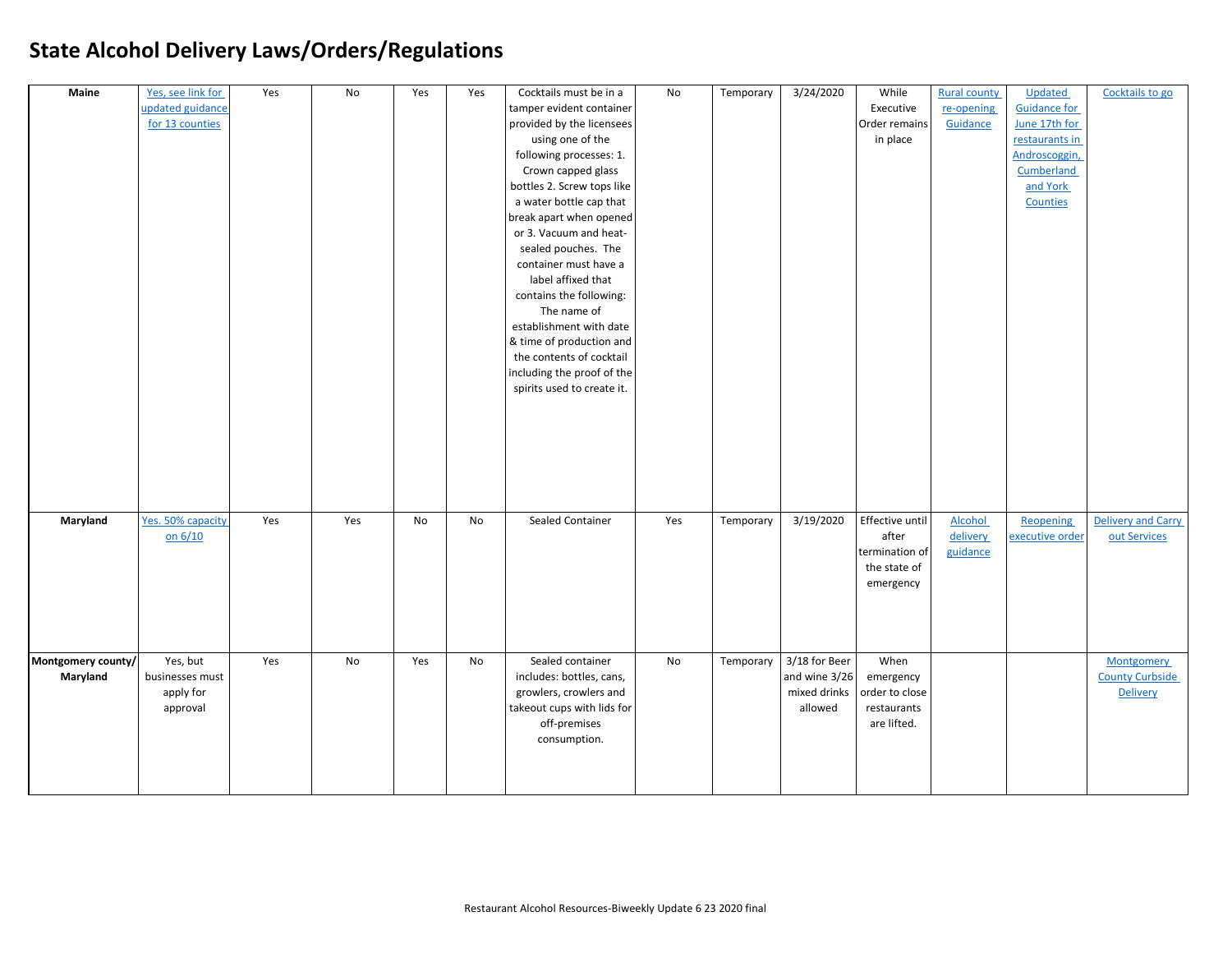| Maine              | Yes, see link for | Yes | No  | Yes | Yes       | Cocktails must be in a     | No  | Temporary | 3/24/2020     | While           | <b>Rural county</b> | Updated             | Cocktails to go        |
|--------------------|-------------------|-----|-----|-----|-----------|----------------------------|-----|-----------|---------------|-----------------|---------------------|---------------------|------------------------|
|                    | updated guidance  |     |     |     |           | tamper evident container   |     |           |               | Executive       | re-opening          | <b>Guidance for</b> |                        |
|                    | for 13 counties   |     |     |     |           | provided by the licensees  |     |           |               | Order remains   | Guidance            | June 17th for       |                        |
|                    |                   |     |     |     |           | using one of the           |     |           |               | in place        |                     | restaurants in      |                        |
|                    |                   |     |     |     |           | following processes: 1.    |     |           |               |                 |                     | Androscoggin,       |                        |
|                    |                   |     |     |     |           | Crown capped glass         |     |           |               |                 |                     | Cumberland          |                        |
|                    |                   |     |     |     |           | bottles 2. Screw tops like |     |           |               |                 |                     | and York            |                        |
|                    |                   |     |     |     |           | a water bottle cap that    |     |           |               |                 |                     | Counties            |                        |
|                    |                   |     |     |     |           | break apart when opened    |     |           |               |                 |                     |                     |                        |
|                    |                   |     |     |     |           | or 3. Vacuum and heat-     |     |           |               |                 |                     |                     |                        |
|                    |                   |     |     |     |           | sealed pouches. The        |     |           |               |                 |                     |                     |                        |
|                    |                   |     |     |     |           | container must have a      |     |           |               |                 |                     |                     |                        |
|                    |                   |     |     |     |           | label affixed that         |     |           |               |                 |                     |                     |                        |
|                    |                   |     |     |     |           | contains the following:    |     |           |               |                 |                     |                     |                        |
|                    |                   |     |     |     |           | The name of                |     |           |               |                 |                     |                     |                        |
|                    |                   |     |     |     |           | establishment with date    |     |           |               |                 |                     |                     |                        |
|                    |                   |     |     |     |           | & time of production and   |     |           |               |                 |                     |                     |                        |
|                    |                   |     |     |     |           | the contents of cocktail   |     |           |               |                 |                     |                     |                        |
|                    |                   |     |     |     |           | including the proof of the |     |           |               |                 |                     |                     |                        |
|                    |                   |     |     |     |           | spirits used to create it. |     |           |               |                 |                     |                     |                        |
|                    |                   |     |     |     |           |                            |     |           |               |                 |                     |                     |                        |
|                    |                   |     |     |     |           |                            |     |           |               |                 |                     |                     |                        |
|                    |                   |     |     |     |           |                            |     |           |               |                 |                     |                     |                        |
|                    |                   |     |     |     |           |                            |     |           |               |                 |                     |                     |                        |
|                    |                   |     |     |     |           |                            |     |           |               |                 |                     |                     |                        |
|                    |                   |     |     |     |           |                            |     |           |               |                 |                     |                     |                        |
|                    |                   |     |     |     |           |                            |     |           |               |                 |                     |                     |                        |
| Maryland           | Yes. 50% capacity | Yes | Yes | No  | <b>No</b> | Sealed Container           | Yes | Temporary | 3/19/2020     | Effective until | Alcohol             | Reopening           | Delivery and Carry     |
|                    | on 6/10           |     |     |     |           |                            |     |           |               | after           | delivery            | executive order     | out Services           |
|                    |                   |     |     |     |           |                            |     |           |               | termination of  | guidance            |                     |                        |
|                    |                   |     |     |     |           |                            |     |           |               | the state of    |                     |                     |                        |
|                    |                   |     |     |     |           |                            |     |           |               | emergency       |                     |                     |                        |
|                    |                   |     |     |     |           |                            |     |           |               |                 |                     |                     |                        |
|                    |                   |     |     |     |           |                            |     |           |               |                 |                     |                     |                        |
|                    |                   |     |     |     |           |                            |     |           |               |                 |                     |                     |                        |
|                    |                   |     |     |     |           |                            |     |           |               |                 |                     |                     |                        |
| Montgomery county/ | Yes, but          | Yes | No  | Yes | No        | Sealed container           | No  | Temporary | 3/18 for Beer | When            |                     |                     | <b>Montgomery</b>      |
| Maryland           | businesses must   |     |     |     |           | includes: bottles, cans,   |     |           | and wine 3/26 | emergency       |                     |                     | <b>County Curbside</b> |
|                    | apply for         |     |     |     |           | growlers, crowlers and     |     |           | mixed drinks  | order to close  |                     |                     | <b>Delivery</b>        |
|                    | approval          |     |     |     |           | takeout cups with lids for |     |           | allowed       | restaurants     |                     |                     |                        |
|                    |                   |     |     |     |           | off-premises               |     |           |               | are lifted.     |                     |                     |                        |
|                    |                   |     |     |     |           | consumption.               |     |           |               |                 |                     |                     |                        |
|                    |                   |     |     |     |           |                            |     |           |               |                 |                     |                     |                        |
|                    |                   |     |     |     |           |                            |     |           |               |                 |                     |                     |                        |
|                    |                   |     |     |     |           |                            |     |           |               |                 |                     |                     |                        |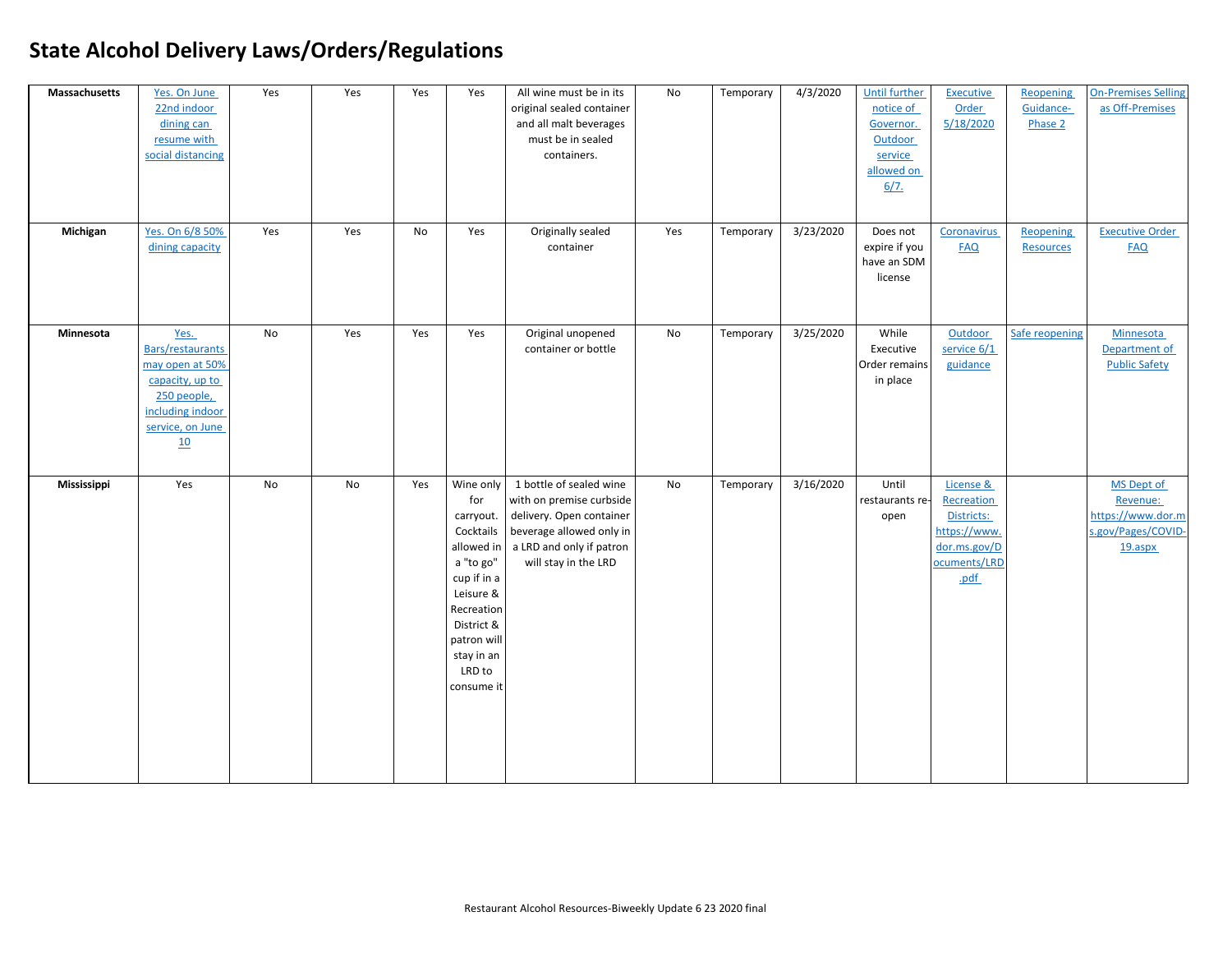| Massachusetts | Yes. On June<br>22nd indoor<br>dining can<br>resume with<br>social distancing                                                      | Yes       | Yes | Yes | Yes                                                                                                                                                                   | All wine must be in its<br>original sealed container<br>and all malt beverages<br>must be in sealed<br>containers.                                                        | No  | Temporary | 4/3/2020  | Until further<br>notice of<br>Governor.<br>Outdoor<br>service<br>allowed on<br>6/7. | <b>Executive</b><br><b>Order</b><br>5/18/2020                                                        | Reopening<br>Guidance-<br>Phase 2    | <b>On-Premises Selling</b><br>as Off-Premises                                |
|---------------|------------------------------------------------------------------------------------------------------------------------------------|-----------|-----|-----|-----------------------------------------------------------------------------------------------------------------------------------------------------------------------|---------------------------------------------------------------------------------------------------------------------------------------------------------------------------|-----|-----------|-----------|-------------------------------------------------------------------------------------|------------------------------------------------------------------------------------------------------|--------------------------------------|------------------------------------------------------------------------------|
| Michigan      | Yes. On 6/8 50%<br>dining capacity                                                                                                 | Yes       | Yes | No  | Yes                                                                                                                                                                   | Originally sealed<br>container                                                                                                                                            | Yes | Temporary | 3/23/2020 | Does not<br>expire if you<br>have an SDM<br>license                                 | Coronavirus<br><b>FAQ</b>                                                                            | <b>Reopening</b><br><b>Resources</b> | <b>Executive Order</b><br><b>FAQ</b>                                         |
| Minnesota     | Yes.<br><b>Bars/restaurants</b><br>may open at 50%<br>capacity, up to<br>250 people,<br>including indoor<br>service, on June<br>10 | <b>No</b> | Yes | Yes | Yes                                                                                                                                                                   | Original unopened<br>container or bottle                                                                                                                                  | No  | Temporary | 3/25/2020 | While<br>Executive<br>Order remains<br>in place                                     | Outdoor<br>service 6/1<br>guidance                                                                   | Safe reopening                       | Minnesota<br>Department of<br><b>Public Safety</b>                           |
| Mississippi   | Yes                                                                                                                                | No        | No  | Yes | for<br>carryout.<br>Cocktails<br>allowed in<br>a "to go"<br>cup if in a<br>Leisure &<br>Recreation<br>District &<br>patron will<br>stay in an<br>LRD to<br>consume it | Wine only 1 bottle of sealed wine<br>with on premise curbside<br>delivery. Open container<br>beverage allowed only in<br>a LRD and only if patron<br>will stay in the LRD | No  | Temporary | 3/16/2020 | Until<br>restaurants re-<br>open                                                    | License &<br><b>Recreation</b><br>Districts:<br>https://www.<br>dor.ms.gov/D<br>ocuments/LRD<br>.pdf |                                      | MS Dept of<br>Revenue:<br>https://www.dor.m<br>s.gov/Pages/COVID-<br>19.aspx |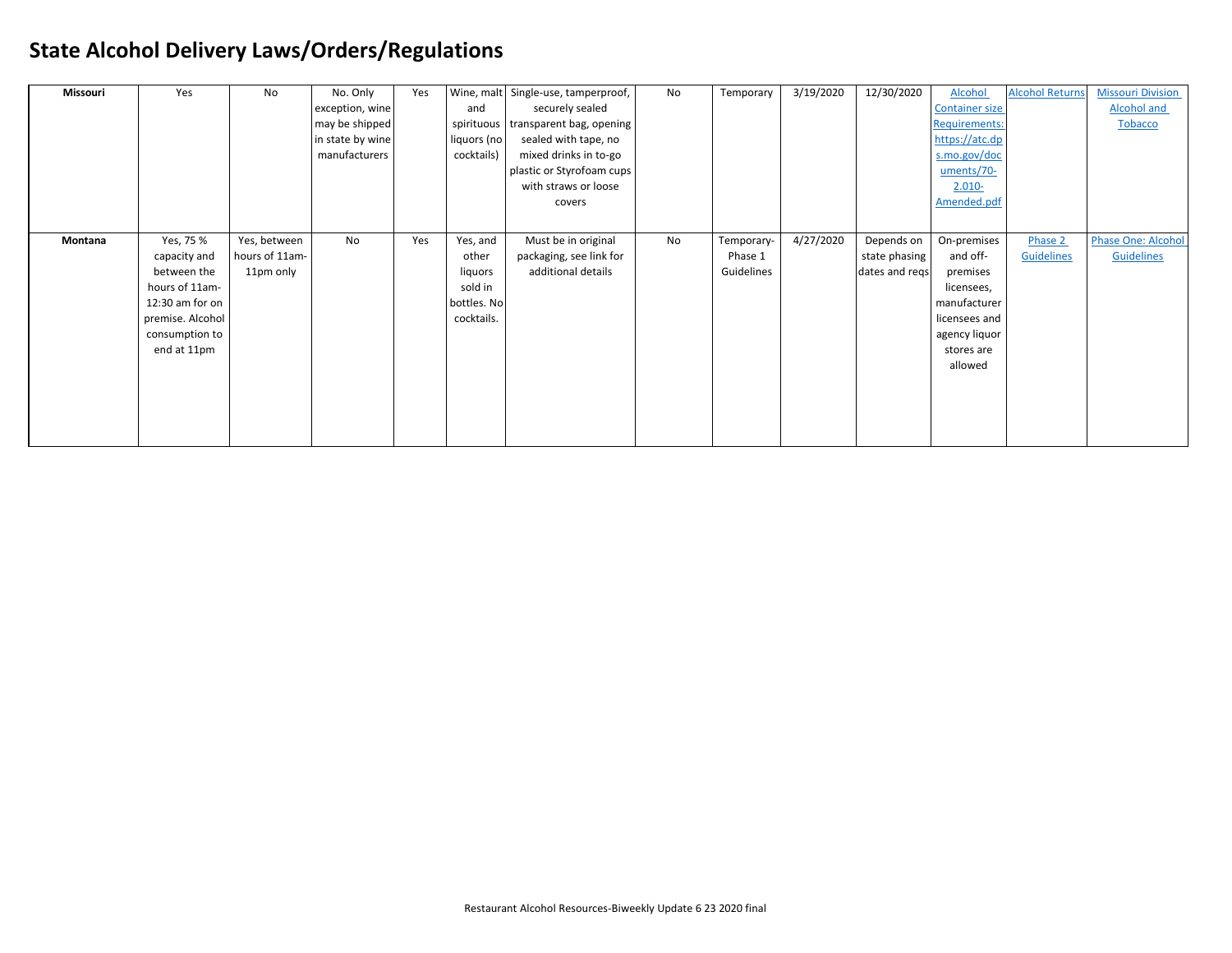| Missouri       | Yes              | No             | No. Only         | Yes |             | Wine, malt Single-use, tamperproof, | No | Temporary  | 3/19/2020 | 12/30/2020     | Alcohol               | <b>Alcohol Returns</b> | <b>Missouri Division</b>  |
|----------------|------------------|----------------|------------------|-----|-------------|-------------------------------------|----|------------|-----------|----------------|-----------------------|------------------------|---------------------------|
|                |                  |                | exception, wine  |     | and         | securely sealed                     |    |            |           |                | <b>Container size</b> |                        | <b>Alcohol and</b>        |
|                |                  |                | may be shipped   |     |             | spirituous transparent bag, opening |    |            |           |                | <b>Requirements:</b>  |                        | <b>Tobacco</b>            |
|                |                  |                | in state by wine |     | liquors (no | sealed with tape, no                |    |            |           |                | https://atc.dp        |                        |                           |
|                |                  |                | manufacturers    |     | cocktails)  | mixed drinks in to-go               |    |            |           |                | s.mo.gov/doc          |                        |                           |
|                |                  |                |                  |     |             | plastic or Styrofoam cups           |    |            |           |                | uments/70-            |                        |                           |
|                |                  |                |                  |     |             | with straws or loose                |    |            |           |                | $2.010 -$             |                        |                           |
|                |                  |                |                  |     |             | covers                              |    |            |           |                | Amended.pdf           |                        |                           |
|                |                  |                |                  |     |             |                                     |    |            |           |                |                       |                        |                           |
| <b>Montana</b> | Yes, 75 %        | Yes, between   | No               | Yes | Yes, and    | Must be in original                 | No | Temporary- | 4/27/2020 | Depends on     | On-premises           | Phase 2                | <b>Phase One: Alcohol</b> |
|                | capacity and     | hours of 11am- |                  |     | other       | packaging, see link for             |    | Phase 1    |           | state phasing  | and off-              | Guidelines             | Guidelines                |
|                | between the      | 11pm only      |                  |     | liquors     | additional details                  |    | Guidelines |           | dates and reqs | premises              |                        |                           |
|                | hours of 11am-   |                |                  |     | sold in     |                                     |    |            |           |                | licensees,            |                        |                           |
|                | 12:30 am for on  |                |                  |     | bottles. No |                                     |    |            |           |                | manufacturer          |                        |                           |
|                | premise. Alcohol |                |                  |     | cocktails.  |                                     |    |            |           |                | licensees and         |                        |                           |
|                | consumption to   |                |                  |     |             |                                     |    |            |           |                | agency liquor         |                        |                           |
|                | end at 11pm      |                |                  |     |             |                                     |    |            |           |                | stores are            |                        |                           |
|                |                  |                |                  |     |             |                                     |    |            |           |                | allowed               |                        |                           |
|                |                  |                |                  |     |             |                                     |    |            |           |                |                       |                        |                           |
|                |                  |                |                  |     |             |                                     |    |            |           |                |                       |                        |                           |
|                |                  |                |                  |     |             |                                     |    |            |           |                |                       |                        |                           |
|                |                  |                |                  |     |             |                                     |    |            |           |                |                       |                        |                           |
|                |                  |                |                  |     |             |                                     |    |            |           |                |                       |                        |                           |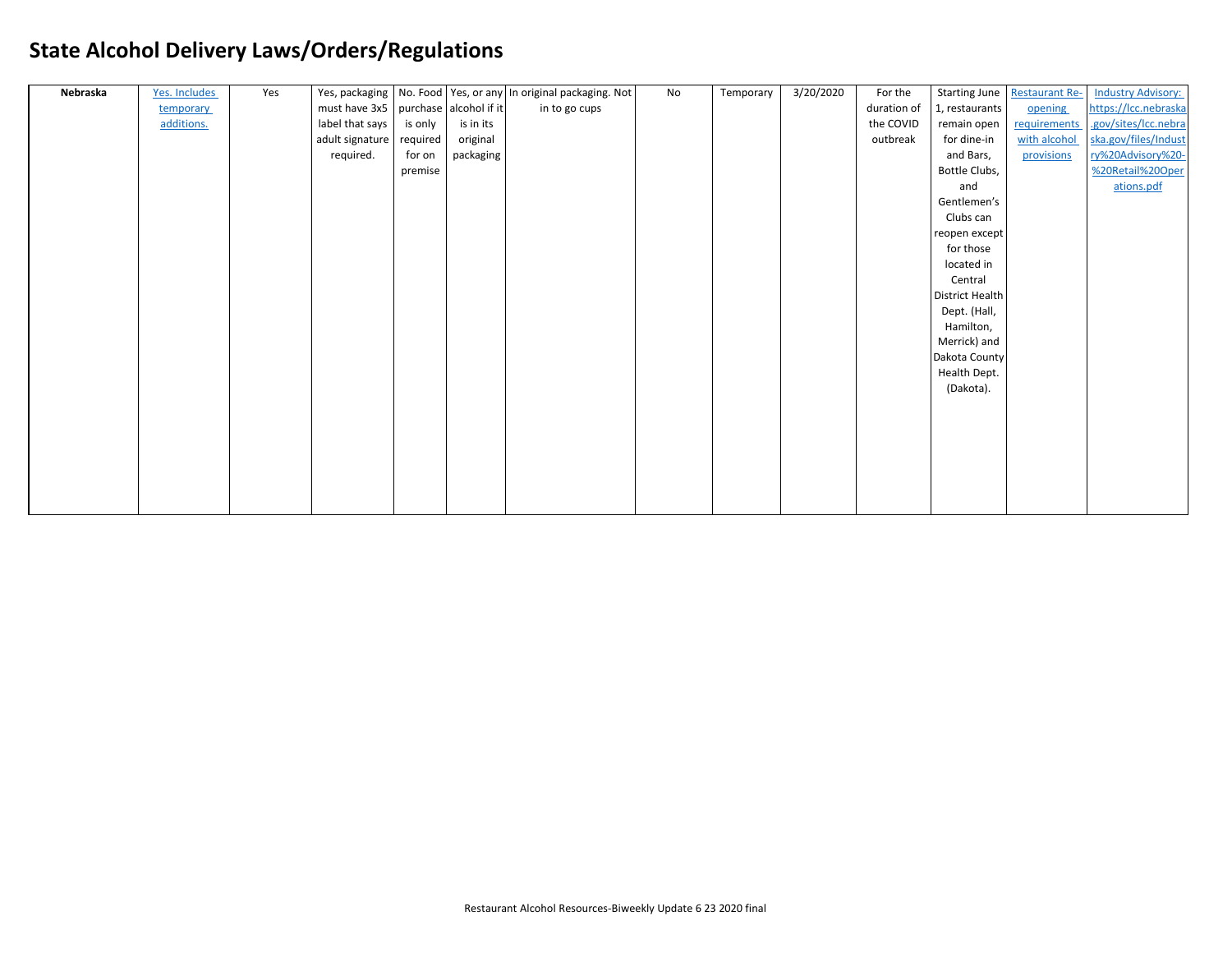| Nebraska | Yes. Includes | Yes |                                      |          |           | Yes, packaging   No. Food   Yes, or any   In original packaging. Not | No | Temporary | 3/20/2020 | For the     |                        | Starting June   Restaurant Re- | <b>Industry Advisory:</b> |
|----------|---------------|-----|--------------------------------------|----------|-----------|----------------------------------------------------------------------|----|-----------|-----------|-------------|------------------------|--------------------------------|---------------------------|
|          | temporary     |     | must have 3x5 purchase alcohol if it |          |           | in to go cups                                                        |    |           |           | duration of | 1, restaurants         | opening                        | https://lcc.nebraska      |
|          | additions.    |     | label that says                      | is only  | is in its |                                                                      |    |           |           | the COVID   | remain open            | <b>requirements</b>            | .gov/sites/Icc.nebra      |
|          |               |     | adult signature                      | required | original  |                                                                      |    |           |           | outbreak    | for dine-in            | with alcohol                   | ska.gov/files/Indust      |
|          |               |     | required.                            | for on   | packaging |                                                                      |    |           |           |             | and Bars,              | provisions                     | ry%20Advisory%20-         |
|          |               |     |                                      | premise  |           |                                                                      |    |           |           |             | Bottle Clubs,          |                                | %20Retail%20Oper          |
|          |               |     |                                      |          |           |                                                                      |    |           |           |             | and                    |                                | ations.pdf                |
|          |               |     |                                      |          |           |                                                                      |    |           |           |             | Gentlemen's            |                                |                           |
|          |               |     |                                      |          |           |                                                                      |    |           |           |             | Clubs can              |                                |                           |
|          |               |     |                                      |          |           |                                                                      |    |           |           |             | reopen except          |                                |                           |
|          |               |     |                                      |          |           |                                                                      |    |           |           |             | for those              |                                |                           |
|          |               |     |                                      |          |           |                                                                      |    |           |           |             | located in             |                                |                           |
|          |               |     |                                      |          |           |                                                                      |    |           |           |             | Central                |                                |                           |
|          |               |     |                                      |          |           |                                                                      |    |           |           |             | <b>District Health</b> |                                |                           |
|          |               |     |                                      |          |           |                                                                      |    |           |           |             | Dept. (Hall,           |                                |                           |
|          |               |     |                                      |          |           |                                                                      |    |           |           |             | Hamilton,              |                                |                           |
|          |               |     |                                      |          |           |                                                                      |    |           |           |             | Merrick) and           |                                |                           |
|          |               |     |                                      |          |           |                                                                      |    |           |           |             | Dakota County          |                                |                           |
|          |               |     |                                      |          |           |                                                                      |    |           |           |             | Health Dept.           |                                |                           |
|          |               |     |                                      |          |           |                                                                      |    |           |           |             | (Dakota).              |                                |                           |
|          |               |     |                                      |          |           |                                                                      |    |           |           |             |                        |                                |                           |
|          |               |     |                                      |          |           |                                                                      |    |           |           |             |                        |                                |                           |
|          |               |     |                                      |          |           |                                                                      |    |           |           |             |                        |                                |                           |
|          |               |     |                                      |          |           |                                                                      |    |           |           |             |                        |                                |                           |
|          |               |     |                                      |          |           |                                                                      |    |           |           |             |                        |                                |                           |
|          |               |     |                                      |          |           |                                                                      |    |           |           |             |                        |                                |                           |
|          |               |     |                                      |          |           |                                                                      |    |           |           |             |                        |                                |                           |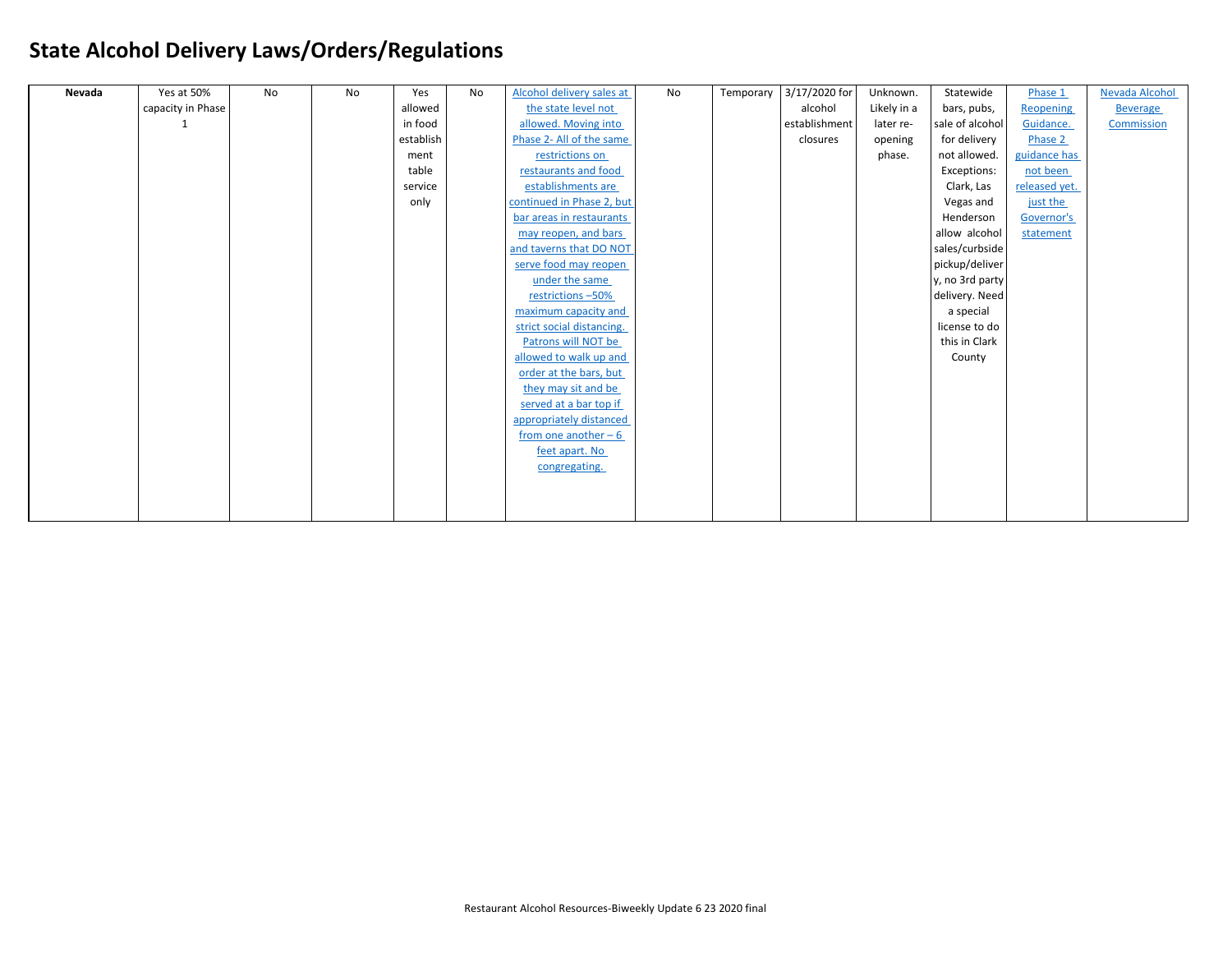| Nevada | Yes at 50%        | No | No | Yes       | No | Alcohol delivery sales at | No | Temporary | 3/17/2020 for | Unknown.    | Statewide       | Phase 1       | Nevada Alcohol  |
|--------|-------------------|----|----|-----------|----|---------------------------|----|-----------|---------------|-------------|-----------------|---------------|-----------------|
|        | capacity in Phase |    |    | allowed   |    | the state level not       |    |           | alcohol       | Likely in a | bars, pubs,     | Reopening     | <b>Beverage</b> |
|        |                   |    |    | in food   |    | allowed. Moving into      |    |           | establishment | later re-   | sale of alcohol | Guidance.     | Commission      |
|        |                   |    |    | establish |    | Phase 2- All of the same  |    |           | closures      | opening     | for delivery    | Phase 2       |                 |
|        |                   |    |    | ment      |    | restrictions on           |    |           |               | phase.      | not allowed.    | guidance has  |                 |
|        |                   |    |    | table     |    | restaurants and food      |    |           |               |             | Exceptions:     | not been      |                 |
|        |                   |    |    | service   |    | establishments are        |    |           |               |             | Clark, Las      | released yet. |                 |
|        |                   |    |    | only      |    | continued in Phase 2, but |    |           |               |             | Vegas and       | just the      |                 |
|        |                   |    |    |           |    | bar areas in restaurants  |    |           |               |             | Henderson       | Governor's    |                 |
|        |                   |    |    |           |    | may reopen, and bars      |    |           |               |             | allow alcohol   | statement     |                 |
|        |                   |    |    |           |    | and taverns that DO NOT   |    |           |               |             | sales/curbside  |               |                 |
|        |                   |    |    |           |    | serve food may reopen     |    |           |               |             | pickup/deliver  |               |                 |
|        |                   |    |    |           |    | under the same            |    |           |               |             | y, no 3rd party |               |                 |
|        |                   |    |    |           |    | restrictions -50%         |    |           |               |             | delivery. Need  |               |                 |
|        |                   |    |    |           |    | maximum capacity and      |    |           |               |             | a special       |               |                 |
|        |                   |    |    |           |    | strict social distancing. |    |           |               |             | license to do   |               |                 |
|        |                   |    |    |           |    | Patrons will NOT be       |    |           |               |             | this in Clark   |               |                 |
|        |                   |    |    |           |    | allowed to walk up and    |    |           |               |             | County          |               |                 |
|        |                   |    |    |           |    | order at the bars, but    |    |           |               |             |                 |               |                 |
|        |                   |    |    |           |    | they may sit and be       |    |           |               |             |                 |               |                 |
|        |                   |    |    |           |    | served at a bar top if    |    |           |               |             |                 |               |                 |
|        |                   |    |    |           |    | appropriately distanced   |    |           |               |             |                 |               |                 |
|        |                   |    |    |           |    | from one another $-6$     |    |           |               |             |                 |               |                 |
|        |                   |    |    |           |    | feet apart. No            |    |           |               |             |                 |               |                 |
|        |                   |    |    |           |    | congregating.             |    |           |               |             |                 |               |                 |
|        |                   |    |    |           |    |                           |    |           |               |             |                 |               |                 |
|        |                   |    |    |           |    |                           |    |           |               |             |                 |               |                 |
|        |                   |    |    |           |    |                           |    |           |               |             |                 |               |                 |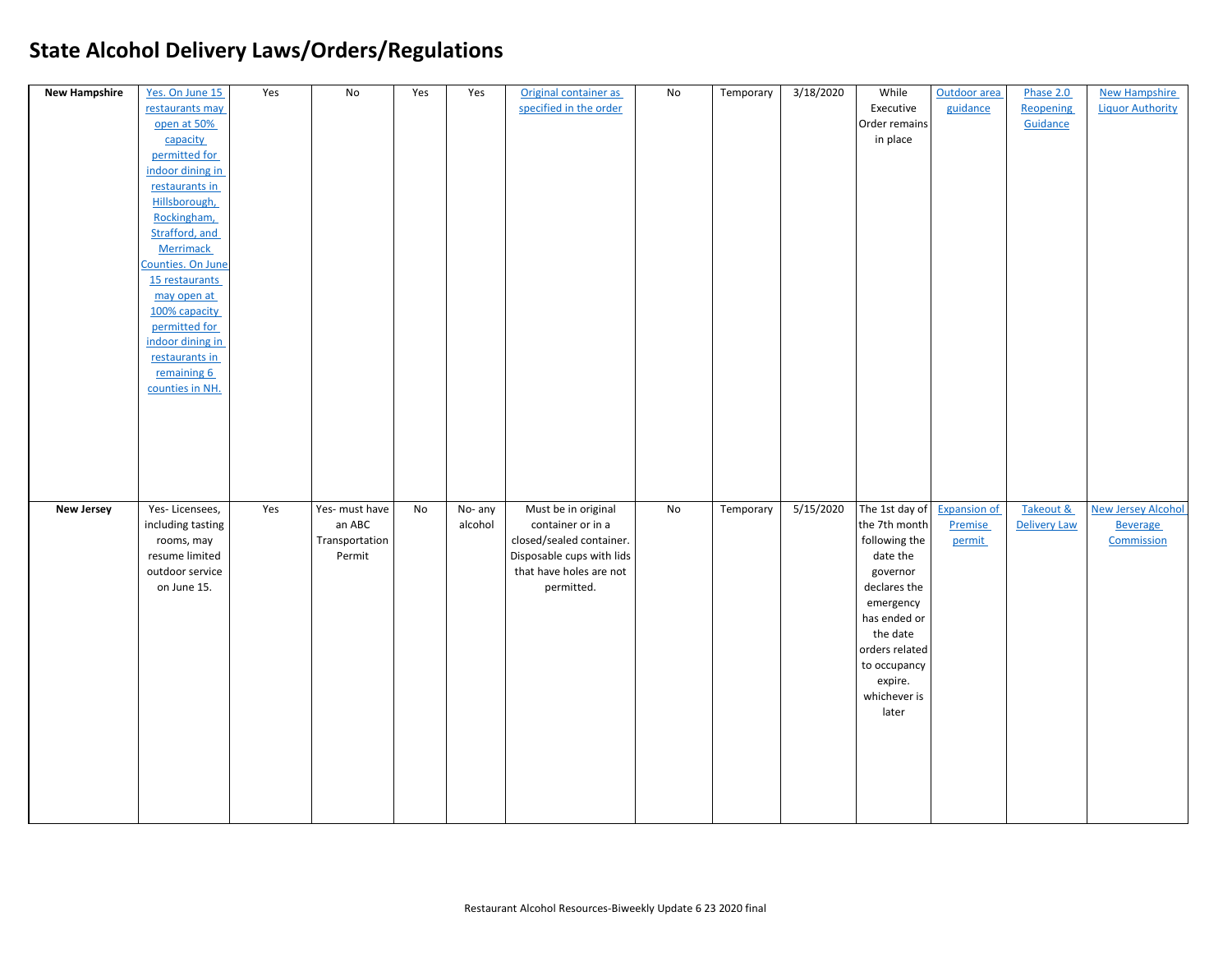| <b>New Hampshire</b> | Yes. On June 15<br>restaurants may<br>open at 50%<br>capacity<br>permitted for<br>indoor dining in<br>restaurants in<br>Hillsborough,<br>Rockingham,<br>Strafford, and<br><b>Merrimack</b><br>Counties. On June<br>15 restaurants<br>may open at<br>100% capacity<br>permitted for<br>indoor dining in<br>restaurants in<br>remaining 6<br>counties in NH. | Yes | No                                                   | Yes | Yes                | Original container as<br>specified in the order                                                                                            | No | Temporary | 3/18/2020 | While<br>Executive<br>Order remains<br>in place                                                                                   | Outdoor area<br>guidance                 | Phase 2.0<br><b>Reopening</b><br>Guidance | <b>New Hampshire</b><br><b>Liquor Authority</b>            |
|----------------------|------------------------------------------------------------------------------------------------------------------------------------------------------------------------------------------------------------------------------------------------------------------------------------------------------------------------------------------------------------|-----|------------------------------------------------------|-----|--------------------|--------------------------------------------------------------------------------------------------------------------------------------------|----|-----------|-----------|-----------------------------------------------------------------------------------------------------------------------------------|------------------------------------------|-------------------------------------------|------------------------------------------------------------|
| <b>New Jersey</b>    | Yes-Licensees,<br>including tasting<br>rooms, may<br>resume limited<br>outdoor service<br>on June 15.                                                                                                                                                                                                                                                      | Yes | Yes- must have<br>an ABC<br>Transportation<br>Permit | No  | No- any<br>alcohol | Must be in original<br>container or in a<br>closed/sealed container.<br>Disposable cups with lids<br>that have holes are not<br>permitted. | No | Temporary | 5/15/2020 | The 1st day of<br>the 7th month<br>following the<br>date the<br>governor<br>declares the<br>emergency<br>has ended or<br>the date | <b>Expansion of</b><br>Premise<br>permit | Takeout &<br><b>Delivery Law</b>          | <b>New Jersey Alcohol</b><br><b>Beverage</b><br>Commission |
|                      |                                                                                                                                                                                                                                                                                                                                                            |     |                                                      |     |                    |                                                                                                                                            |    |           |           | orders related<br>to occupancy<br>expire.<br>whichever is<br>later                                                                |                                          |                                           |                                                            |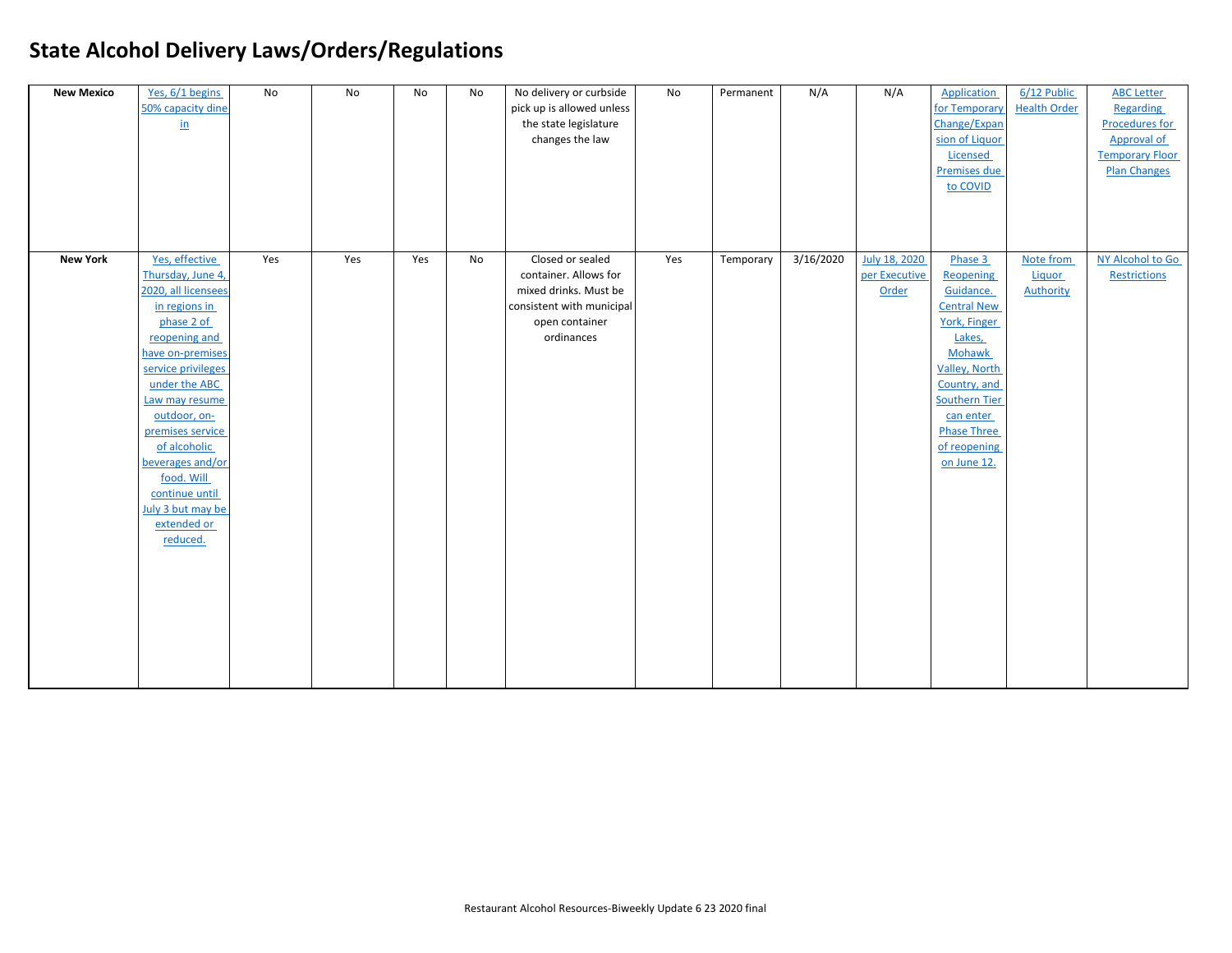| <b>New Mexico</b> | Yes, 6/1 begins<br>50% capacity dine<br>$\underline{\text{in}}$                                                                                                                                                                                                                                                                                 | No  | No  | No  | No | No delivery or curbside<br>pick up is allowed unless<br>the state legislature<br>changes the law                                | No  | Permanent | N/A       | N/A                                     | <b>Application</b><br>for Temporary<br>Change/Expan<br>sion of Liquor<br>Licensed<br>Premises due<br>to COVID                                                                                                                 | 6/12 Public<br><b>Health Order</b>      | <b>ABC Letter</b><br>Regarding<br><b>Procedures for</b><br><b>Approval of</b><br><b>Temporary Floor</b><br><b>Plan Changes</b> |
|-------------------|-------------------------------------------------------------------------------------------------------------------------------------------------------------------------------------------------------------------------------------------------------------------------------------------------------------------------------------------------|-----|-----|-----|----|---------------------------------------------------------------------------------------------------------------------------------|-----|-----------|-----------|-----------------------------------------|-------------------------------------------------------------------------------------------------------------------------------------------------------------------------------------------------------------------------------|-----------------------------------------|--------------------------------------------------------------------------------------------------------------------------------|
| <b>New York</b>   | Yes, effective<br>Thursday, June 4,<br>2020, all licensees<br>in regions in<br>phase 2 of<br>reopening and<br>have on-premises<br>service privileges<br>under the ABC<br>Law may resume<br>outdoor, on-<br>premises service<br>of alcoholic<br>beverages and/or<br>food. Will<br>continue until<br>July 3 but may be<br>extended or<br>reduced. | Yes | Yes | Yes | No | Closed or sealed<br>container. Allows for<br>mixed drinks. Must be<br>consistent with municipal<br>open container<br>ordinances | Yes | Temporary | 3/16/2020 | July 18, 2020<br>per Executive<br>Order | Phase 3<br>Reopening<br>Guidance.<br><b>Central New</b><br>York, Finger<br>Lakes,<br>Mohawk<br><b>Valley, North</b><br>Country, and<br><b>Southern Tier</b><br>can enter<br><b>Phase Three</b><br>of reopening<br>on June 12. | Note from<br><b>Liquor</b><br>Authority | NY Alcohol to Go<br>Restrictions                                                                                               |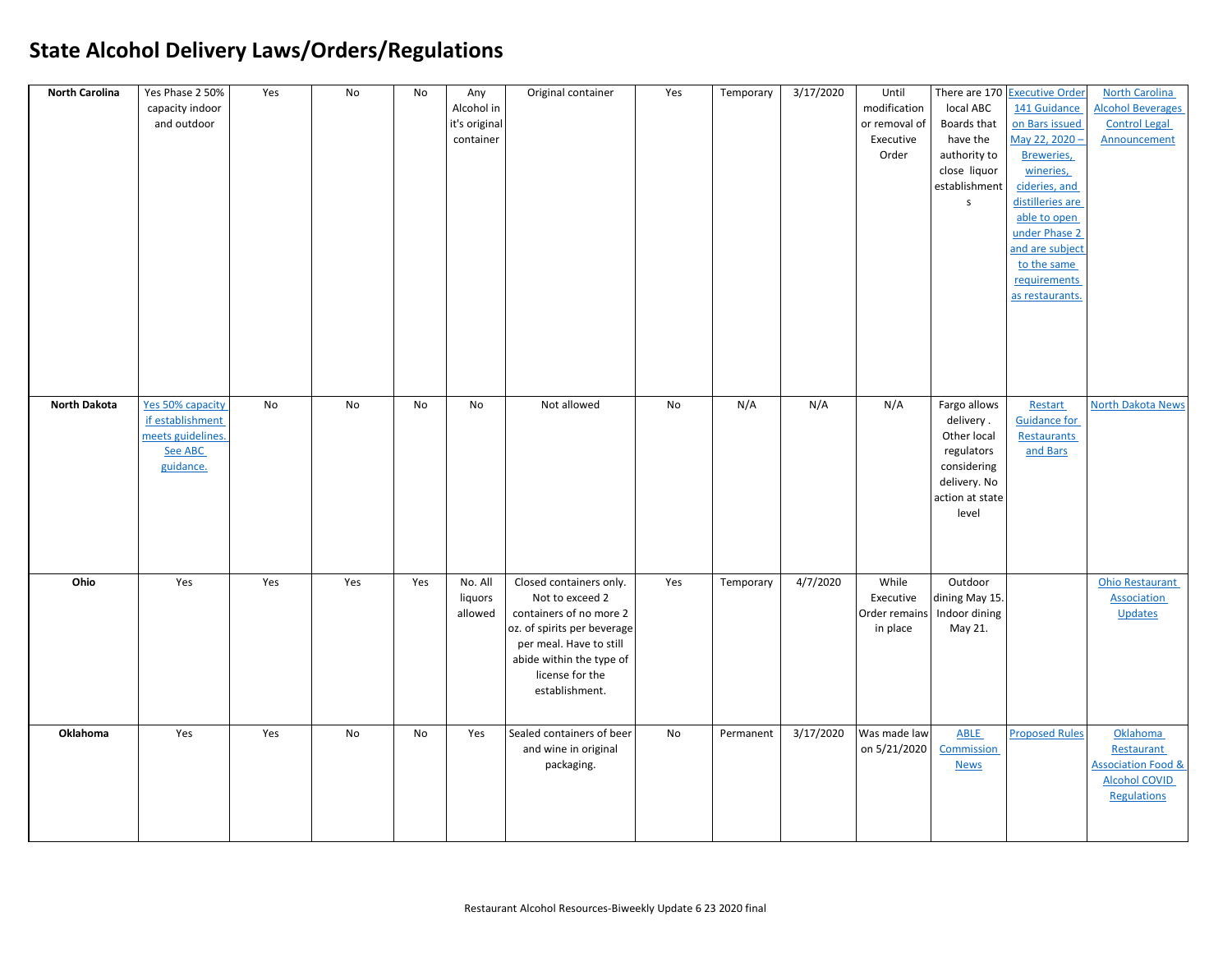| <b>North Carolina</b> | Yes Phase 2 50%   | Yes | No  | No  | Any           | Original container          | Yes | Temporary | 3/17/2020 | Until         |                             | There are 170 Executive Order | <b>North Carolina</b>         |
|-----------------------|-------------------|-----|-----|-----|---------------|-----------------------------|-----|-----------|-----------|---------------|-----------------------------|-------------------------------|-------------------------------|
|                       | capacity indoor   |     |     |     | Alcohol in    |                             |     |           |           | modification  | local ABC                   | 141 Guidance                  | <b>Alcohol Beverages</b>      |
|                       | and outdoor       |     |     |     | it's original |                             |     |           |           | or removal of | Boards that                 | on Bars issued                | <b>Control Legal</b>          |
|                       |                   |     |     |     | container     |                             |     |           |           | Executive     | have the                    | May 22, 2020 -                | Announcement                  |
|                       |                   |     |     |     |               |                             |     |           |           | Order         | authority to                | Breweries,                    |                               |
|                       |                   |     |     |     |               |                             |     |           |           |               | close liquor                | wineries,                     |                               |
|                       |                   |     |     |     |               |                             |     |           |           |               | establishment               | cideries, and                 |                               |
|                       |                   |     |     |     |               |                             |     |           |           |               | $\mathsf{s}$                | distilleries are              |                               |
|                       |                   |     |     |     |               |                             |     |           |           |               |                             | able to open                  |                               |
|                       |                   |     |     |     |               |                             |     |           |           |               |                             | under Phase 2                 |                               |
|                       |                   |     |     |     |               |                             |     |           |           |               |                             | and are subject               |                               |
|                       |                   |     |     |     |               |                             |     |           |           |               |                             | to the same                   |                               |
|                       |                   |     |     |     |               |                             |     |           |           |               |                             | requirements                  |                               |
|                       |                   |     |     |     |               |                             |     |           |           |               |                             | as restaurants.               |                               |
|                       |                   |     |     |     |               |                             |     |           |           |               |                             |                               |                               |
|                       |                   |     |     |     |               |                             |     |           |           |               |                             |                               |                               |
|                       |                   |     |     |     |               |                             |     |           |           |               |                             |                               |                               |
|                       |                   |     |     |     |               |                             |     |           |           |               |                             |                               |                               |
|                       |                   |     |     |     |               |                             |     |           |           |               |                             |                               |                               |
|                       |                   |     |     |     |               |                             |     |           |           |               |                             |                               |                               |
| <b>North Dakota</b>   | Yes 50% capacity  | No  | No  | No  | No            | Not allowed                 | No  | N/A       | N/A       | N/A           | Fargo allows                | Restart                       | <b>North Dakota News</b>      |
|                       | if establishment  |     |     |     |               |                             |     |           |           |               | delivery.                   | <b>Guidance for</b>           |                               |
|                       | meets guidelines. |     |     |     |               |                             |     |           |           |               | Other local                 | <b>Restaurants</b>            |                               |
|                       | See ABC           |     |     |     |               |                             |     |           |           |               | regulators                  | and Bars                      |                               |
|                       | guidance.         |     |     |     |               |                             |     |           |           |               | considering                 |                               |                               |
|                       |                   |     |     |     |               |                             |     |           |           |               | delivery. No                |                               |                               |
|                       |                   |     |     |     |               |                             |     |           |           |               | action at state             |                               |                               |
|                       |                   |     |     |     |               |                             |     |           |           |               | level                       |                               |                               |
|                       |                   |     |     |     |               |                             |     |           |           |               |                             |                               |                               |
|                       |                   |     |     |     |               |                             |     |           |           |               |                             |                               |                               |
|                       |                   |     |     |     |               |                             |     |           |           |               |                             |                               |                               |
| Ohio                  | Yes               | Yes | Yes | Yes | No. All       | Closed containers only.     | Yes | Temporary | 4/7/2020  | While         | Outdoor                     |                               | Ohio Restaurant               |
|                       |                   |     |     |     | liquors       | Not to exceed 2             |     |           |           | Executive     | dining May 15.              |                               | <b>Association</b>            |
|                       |                   |     |     |     | allowed       | containers of no more 2     |     |           |           |               | Order remains Indoor dining |                               | Updates                       |
|                       |                   |     |     |     |               | oz. of spirits per beverage |     |           |           | in place      | May 21.                     |                               |                               |
|                       |                   |     |     |     |               | per meal. Have to still     |     |           |           |               |                             |                               |                               |
|                       |                   |     |     |     |               | abide within the type of    |     |           |           |               |                             |                               |                               |
|                       |                   |     |     |     |               | license for the             |     |           |           |               |                             |                               |                               |
|                       |                   |     |     |     |               | establishment.              |     |           |           |               |                             |                               |                               |
|                       |                   |     |     |     |               |                             |     |           |           |               |                             |                               |                               |
|                       |                   |     |     |     |               |                             |     |           |           |               |                             |                               |                               |
| Oklahoma              | Yes               | Yes | No  | No  | Yes           | Sealed containers of beer   | No  | Permanent | 3/17/2020 | Was made law  | ABLE                        | <b>Proposed Rules</b>         | Oklahoma                      |
|                       |                   |     |     |     |               | and wine in original        |     |           |           | on 5/21/2020  | Commission                  |                               | Restaurant                    |
|                       |                   |     |     |     |               | packaging.                  |     |           |           |               | <b>News</b>                 |                               | <b>Association Food &amp;</b> |
|                       |                   |     |     |     |               |                             |     |           |           |               |                             |                               | <b>Alcohol COVID</b>          |
|                       |                   |     |     |     |               |                             |     |           |           |               |                             |                               | <b>Regulations</b>            |
|                       |                   |     |     |     |               |                             |     |           |           |               |                             |                               |                               |
|                       |                   |     |     |     |               |                             |     |           |           |               |                             |                               |                               |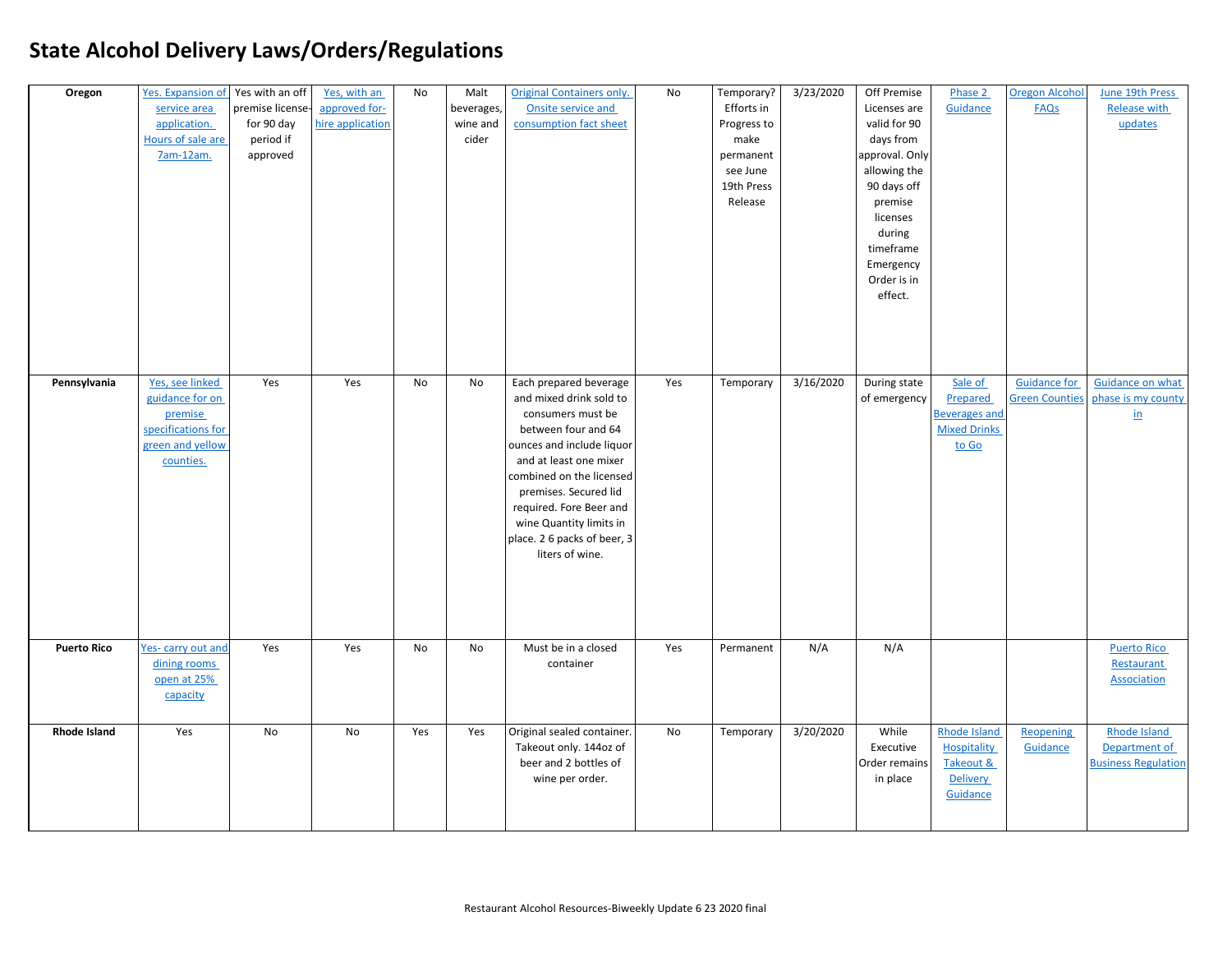| Oregon              | Yes. Expansion of Yes with an off<br>service area<br>application.<br>Hours of sale are<br>7am-12am.  | premise license-<br>for 90 day<br>period if<br>approved | Yes, with an<br>approved for-<br>hire application | No  | Malt<br>beverages,<br>wine and<br>cider | <b>Original Containers only.</b><br>Onsite service and<br>consumption fact sheet                                                                                                                                                                                                                                  | No  | Temporary?<br>Efforts in<br>Progress to<br>make<br>permanent<br>see June<br>19th Press<br>Release | 3/23/2020 | Off Premise<br>Licenses are<br>valid for 90<br>days from<br>approval. Only<br>allowing the<br>90 days off<br>premise<br>licenses<br>during<br>timeframe<br>Emergency<br>Order is in<br>effect. | Phase 2<br>Guidance                                                         | <b>Oregon Alcohol</b><br>FAQs                | June 19th Press<br>Release with<br>updates                        |
|---------------------|------------------------------------------------------------------------------------------------------|---------------------------------------------------------|---------------------------------------------------|-----|-----------------------------------------|-------------------------------------------------------------------------------------------------------------------------------------------------------------------------------------------------------------------------------------------------------------------------------------------------------------------|-----|---------------------------------------------------------------------------------------------------|-----------|------------------------------------------------------------------------------------------------------------------------------------------------------------------------------------------------|-----------------------------------------------------------------------------|----------------------------------------------|-------------------------------------------------------------------|
| Pennsylvania        | Yes, see linked<br>guidance for on<br>premise<br>specifications for<br>green and yellow<br>counties. | Yes                                                     | Yes                                               | No  | No                                      | Each prepared beverage<br>and mixed drink sold to<br>consumers must be<br>between four and 64<br>ounces and include liquor<br>and at least one mixer<br>combined on the licensed<br>premises. Secured lid<br>required. Fore Beer and<br>wine Quantity limits in<br>place. 2 6 packs of beer, 3<br>liters of wine. | Yes | Temporary                                                                                         | 3/16/2020 | During state<br>of emergency                                                                                                                                                                   | Sale of<br>Prepared<br><b>Beverages and</b><br><b>Mixed Drinks</b><br>to Go | <b>Guidance for</b><br><b>Green Counties</b> | Guidance on what<br>phase is my county<br>$\underline{\text{in}}$ |
| <b>Puerto Rico</b>  | Yes-carry out and<br>dining rooms<br>open at 25%<br>capacity                                         | Yes                                                     | Yes                                               | No  | No                                      | Must be in a closed<br>container                                                                                                                                                                                                                                                                                  | Yes | Permanent                                                                                         | N/A       | N/A                                                                                                                                                                                            |                                                                             |                                              | <b>Puerto Rico</b><br>Restaurant<br><b>Association</b>            |
| <b>Rhode Island</b> | Yes                                                                                                  | <b>No</b>                                               | <b>No</b>                                         | Yes | Yes                                     | Original sealed container.<br>Takeout only. 144oz of<br>beer and 2 bottles of<br>wine per order.                                                                                                                                                                                                                  | No  | Temporary                                                                                         | 3/20/2020 | While<br>Executive<br>Order remains<br>in place                                                                                                                                                | Rhode Island<br>Hospitality<br>Takeout &<br><b>Delivery</b><br>Guidance     | Reopening<br>Guidance                        | Rhode Island<br>Department of<br><b>Business Regulation</b>       |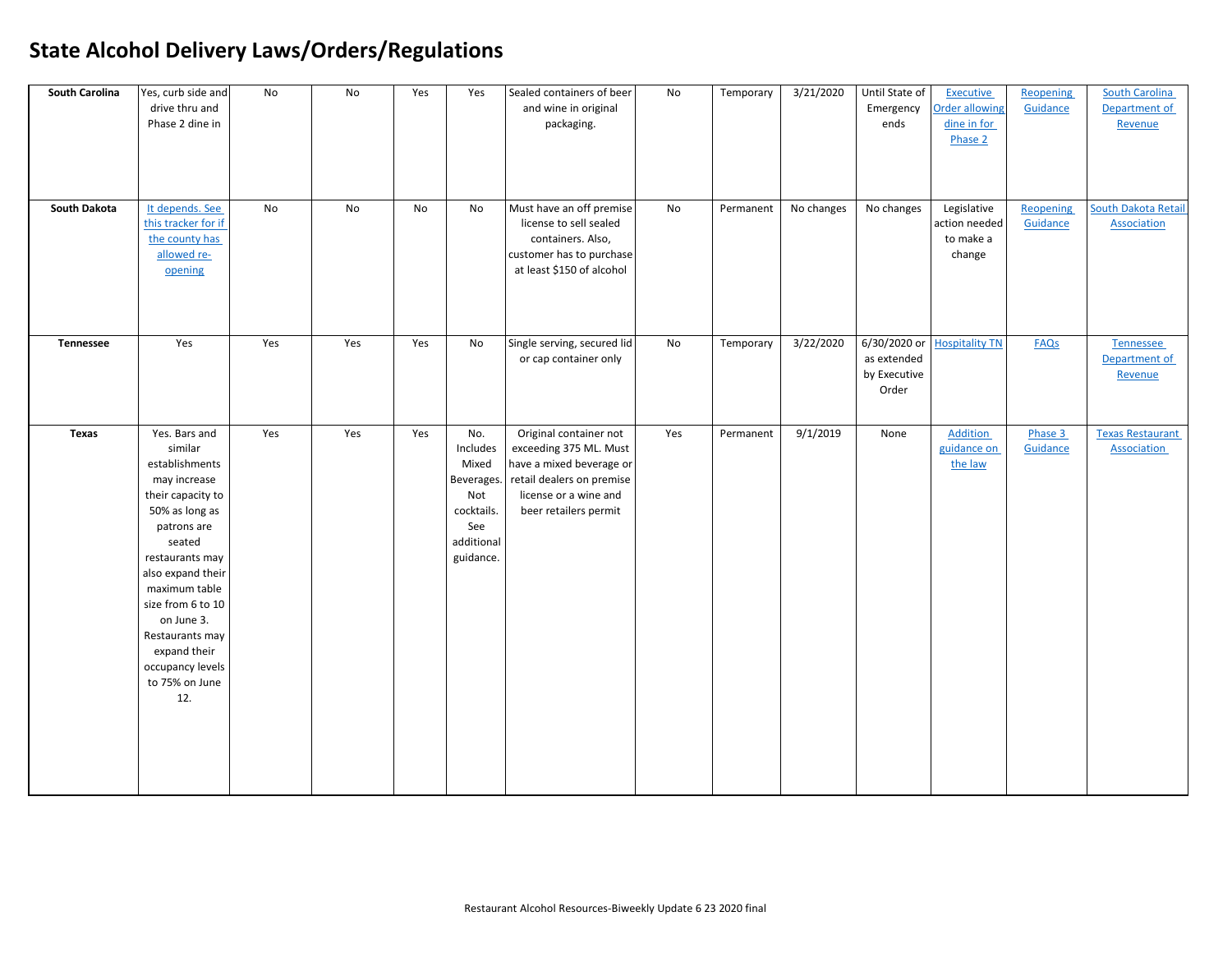| South Carolina<br>South Dakota | Yes, curb side and<br>drive thru and<br>Phase 2 dine in<br>It depends. See<br>this tracker for if<br>the county has<br>allowed re-<br>opening                                                                                                                                                          | No<br><b>No</b> | No<br><b>No</b> | Yes<br><b>No</b> | Yes<br>No                                                                                     | Sealed containers of beer<br>and wine in original<br>packaging.<br>Must have an off premise<br>license to sell sealed<br>containers. Also,<br>customer has to purchase<br>at least \$150 of alcohol | No<br>No | Temporary<br>Permanent | 3/21/2020<br>No changes | Until State of<br>Emergency<br>ends<br>No changes    | <b>Executive</b><br>Order allowing<br>dine in for<br>Phase 2<br>Legislative<br>action needed<br>to make a<br>change | <b>Reopening</b><br>Guidance<br>Reopening<br>Guidance | South Carolina<br>Department of<br>Revenue<br>South Dakota Retail<br>Association |
|--------------------------------|--------------------------------------------------------------------------------------------------------------------------------------------------------------------------------------------------------------------------------------------------------------------------------------------------------|-----------------|-----------------|------------------|-----------------------------------------------------------------------------------------------|-----------------------------------------------------------------------------------------------------------------------------------------------------------------------------------------------------|----------|------------------------|-------------------------|------------------------------------------------------|---------------------------------------------------------------------------------------------------------------------|-------------------------------------------------------|----------------------------------------------------------------------------------|
| Tennessee                      | Yes                                                                                                                                                                                                                                                                                                    | Yes             | Yes             | Yes              | <b>No</b>                                                                                     | Single serving, secured lid<br>or cap container only                                                                                                                                                | No       | Temporary              | 3/22/2020               | 6/30/2020 or<br>as extended<br>by Executive<br>Order | <b>Hospitality TN</b>                                                                                               | FAQs                                                  | Tennessee<br>Department of<br>Revenue                                            |
| <b>Texas</b>                   | Yes. Bars and<br>similar<br>establishments<br>may increase<br>their capacity to<br>50% as long as<br>patrons are<br>seated<br>restaurants may<br>also expand their<br>maximum table<br>size from 6 to 10<br>on June 3.<br>Restaurants may<br>expand their<br>occupancy levels<br>to 75% on June<br>12. | Yes             | Yes             | Yes              | No.<br>Includes<br>Mixed<br>Beverages.<br>Not<br>cocktails.<br>See<br>additional<br>guidance. | Original container not<br>exceeding 375 ML. Must<br>have a mixed beverage or<br>retail dealers on premise<br>license or a wine and<br>beer retailers permit                                         | Yes      | Permanent              | 9/1/2019                | None                                                 | Addition<br>guidance on<br>the law                                                                                  | Phase 3<br>Guidance                                   | <b>Texas Restaurant</b><br><b>Association</b>                                    |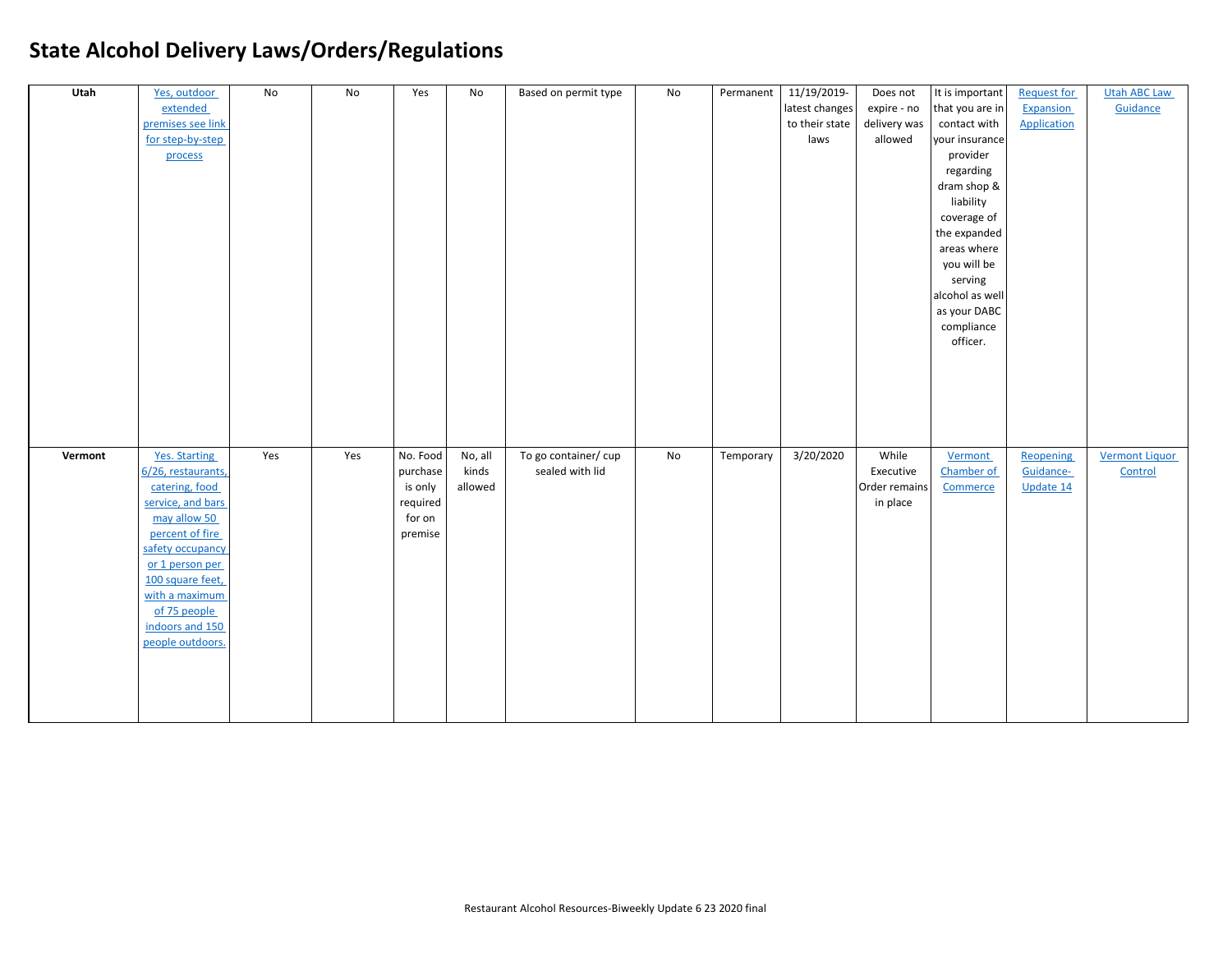| Utah    | Yes, outdoor       | No  | No  | Yes      | No      | Based on permit type | No | Permanent | 11/19/2019-    | Does not      | It is important | <b>Request for</b> | <b>Utah ABC Law</b>   |
|---------|--------------------|-----|-----|----------|---------|----------------------|----|-----------|----------------|---------------|-----------------|--------------------|-----------------------|
|         | extended           |     |     |          |         |                      |    |           | latest changes | expire - no   | that you are in | Expansion          | Guidance              |
|         | premises see link  |     |     |          |         |                      |    |           | to their state | delivery was  | contact with    | <b>Application</b> |                       |
|         | for step-by-step   |     |     |          |         |                      |    |           | laws           | allowed       | your insurance  |                    |                       |
|         | process            |     |     |          |         |                      |    |           |                |               | provider        |                    |                       |
|         |                    |     |     |          |         |                      |    |           |                |               | regarding       |                    |                       |
|         |                    |     |     |          |         |                      |    |           |                |               | dram shop &     |                    |                       |
|         |                    |     |     |          |         |                      |    |           |                |               | liability       |                    |                       |
|         |                    |     |     |          |         |                      |    |           |                |               | coverage of     |                    |                       |
|         |                    |     |     |          |         |                      |    |           |                |               | the expanded    |                    |                       |
|         |                    |     |     |          |         |                      |    |           |                |               | areas where     |                    |                       |
|         |                    |     |     |          |         |                      |    |           |                |               | you will be     |                    |                       |
|         |                    |     |     |          |         |                      |    |           |                |               | serving         |                    |                       |
|         |                    |     |     |          |         |                      |    |           |                |               | alcohol as well |                    |                       |
|         |                    |     |     |          |         |                      |    |           |                |               | as your DABC    |                    |                       |
|         |                    |     |     |          |         |                      |    |           |                |               | compliance      |                    |                       |
|         |                    |     |     |          |         |                      |    |           |                |               | officer.        |                    |                       |
|         |                    |     |     |          |         |                      |    |           |                |               |                 |                    |                       |
|         |                    |     |     |          |         |                      |    |           |                |               |                 |                    |                       |
|         |                    |     |     |          |         |                      |    |           |                |               |                 |                    |                       |
|         |                    |     |     |          |         |                      |    |           |                |               |                 |                    |                       |
|         |                    |     |     |          |         |                      |    |           |                |               |                 |                    |                       |
|         |                    |     |     |          |         |                      |    |           |                |               |                 |                    |                       |
| Vermont | Yes. Starting      | Yes | Yes | No. Food | No, all | To go container/cup  | No | Temporary | 3/20/2020      | While         | Vermont         | Reopening          | <b>Vermont Liquor</b> |
|         | 6/26, restaurants, |     |     | purchase | kinds   | sealed with lid      |    |           |                | Executive     | Chamber of      | Guidance-          | Control               |
|         | catering, food     |     |     | is only  | allowed |                      |    |           |                | Order remains | Commerce        | Update 14          |                       |
|         | service, and bars  |     |     | required |         |                      |    |           |                | in place      |                 |                    |                       |
|         | may allow 50       |     |     | for on   |         |                      |    |           |                |               |                 |                    |                       |
|         | percent of fire    |     |     | premise  |         |                      |    |           |                |               |                 |                    |                       |
|         | safety occupancy   |     |     |          |         |                      |    |           |                |               |                 |                    |                       |
|         | or 1 person per    |     |     |          |         |                      |    |           |                |               |                 |                    |                       |
|         | 100 square feet,   |     |     |          |         |                      |    |           |                |               |                 |                    |                       |
|         | with a maximum     |     |     |          |         |                      |    |           |                |               |                 |                    |                       |
|         | of 75 people       |     |     |          |         |                      |    |           |                |               |                 |                    |                       |
|         | indoors and 150    |     |     |          |         |                      |    |           |                |               |                 |                    |                       |
|         | people outdoors.   |     |     |          |         |                      |    |           |                |               |                 |                    |                       |
|         |                    |     |     |          |         |                      |    |           |                |               |                 |                    |                       |
|         |                    |     |     |          |         |                      |    |           |                |               |                 |                    |                       |
|         |                    |     |     |          |         |                      |    |           |                |               |                 |                    |                       |
|         |                    |     |     |          |         |                      |    |           |                |               |                 |                    |                       |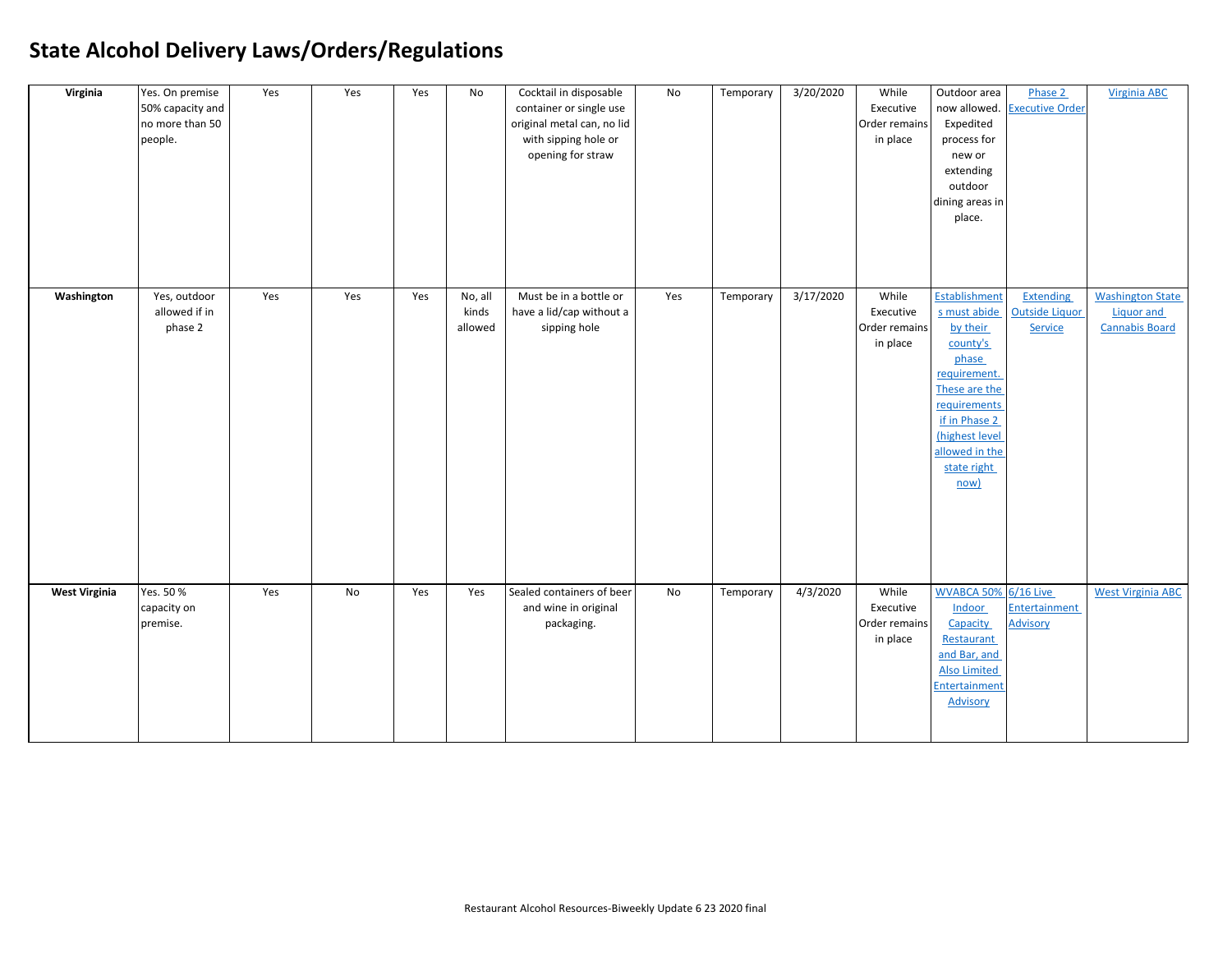| Virginia             | Yes. On premise<br>50% capacity and<br>no more than 50<br>people. | Yes | Yes | Yes | No                          | Cocktail in disposable<br>container or single use<br>original metal can, no lid<br>with sipping hole or<br>opening for straw | No  | Temporary | 3/20/2020 | While<br>Executive<br>Order remains<br>in place | Outdoor area<br>now allowed.<br>Expedited<br>process for<br>new or<br>extending<br>outdoor<br>dining areas in<br>place.                                                                     | Phase 2<br><b>Executive Order</b>                    | <b>Virginia ABC</b>                                                   |
|----------------------|-------------------------------------------------------------------|-----|-----|-----|-----------------------------|------------------------------------------------------------------------------------------------------------------------------|-----|-----------|-----------|-------------------------------------------------|---------------------------------------------------------------------------------------------------------------------------------------------------------------------------------------------|------------------------------------------------------|-----------------------------------------------------------------------|
| Washington           | Yes, outdoor<br>allowed if in<br>phase 2                          | Yes | Yes | Yes | No, all<br>kinds<br>allowed | Must be in a bottle or<br>have a lid/cap without a<br>sipping hole                                                           | Yes | Temporary | 3/17/2020 | While<br>Executive<br>Order remains<br>in place | Establishment<br>s must abide<br>by their<br>county's<br>phase<br>requirement.<br>These are the<br>requirements<br>if in Phase 2<br>(highest level<br>allowed in the<br>state right<br>now) | <b>Extending</b><br><b>Outside Liquor</b><br>Service | <b>Washington State</b><br><b>Liquor and</b><br><b>Cannabis Board</b> |
| <b>West Virginia</b> | Yes. 50 %<br>capacity on<br>premise.                              | Yes | No  | Yes | Yes                         | Sealed containers of beer<br>and wine in original<br>packaging.                                                              | No  | Temporary | 4/3/2020  | While<br>Executive<br>Order remains<br>in place | <b>WVABCA 50% 6/16 Live</b><br>Indoor<br>Capacity<br>Restaurant<br>and Bar, and<br><b>Also Limited</b><br><b>Entertainment</b><br>Advisory                                                  | Entertainment<br><b>Advisory</b>                     | <b>West Virginia ABC</b>                                              |